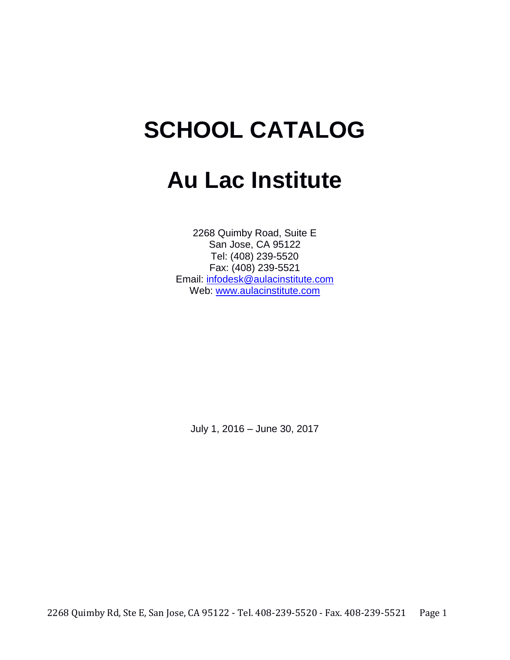# **SCHOOL CATALOG**

# **Au Lac Institute**

2268 Quimby Road, Suite E San Jose, CA 95122 Tel: (408) 239-5520 Fax: (408) 239-5521 Email: infodesk@aulacinstitute.com Web[:](http://www.aulacinstitute.com/) [www.aulacinstitute.com](http://www.aulacinstitute.com/)

July 1, 2016 – June 30, 2017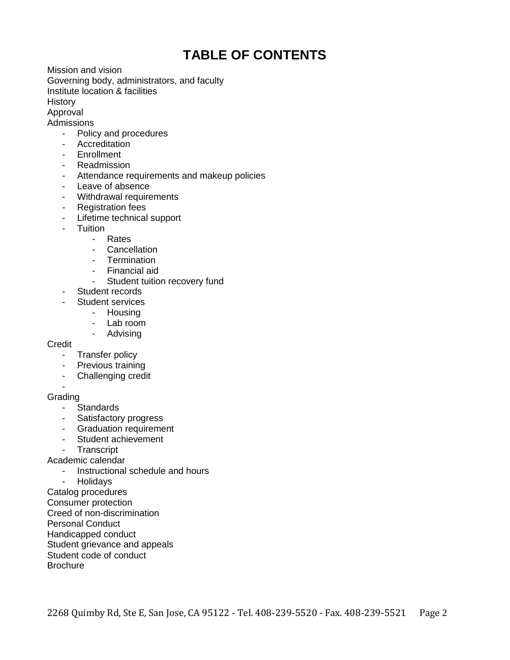# **TABLE OF CONTENTS**

Mission and vision Governing body, administrators, and faculty Institute location & facilities **History** Approval

**Admissions** 

- Policy and procedures
- Accreditation
- Enrollment
- Readmission
- Attendance requirements and makeup policies
- Leave of absence
- Withdrawal requirements
- Registration fees
- Lifetime technical support
- Tuition
	- Rates
	- Cancellation
	- Termination
	- Financial aid
	- Student tuition recovery fund
- Student records
- Student services
	- Housing
		- Lab room
		- Advising

**Credit** 

- Transfer policy
- Previous training
- Challenging credit

- **Grading** 

- Standards
- Satisfactory progress
- Graduation requirement
- Student achievement
- Transcript

Academic calendar

- Instructional schedule and hours<br>- Holidays

**Holidays** 

Catalog procedures

Consumer protection

Creed of non-discrimination

Personal Conduct

Handicapped conduct

Student grievance and appeals

Student code of conduct

**Brochure**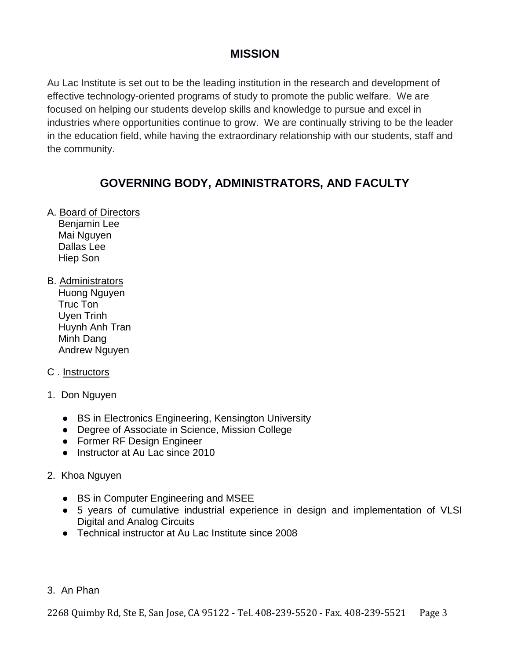# **MISSION**

Au Lac Institute is set out to be the leading institution in the research and development of effective technology-oriented programs of study to promote the public welfare. We are focused on helping our students develop skills and knowledge to pursue and excel in industries where opportunities continue to grow. We are continually striving to be the leader in the education field, while having the extraordinary relationship with our students, staff and the community.

# **GOVERNING BODY, ADMINISTRATORS, AND FACULTY**

- A. Board of Directors Benjamin Lee Mai Nguyen Dallas Lee Hiep Son
- B. Administrators Huong Nguyen Truc Ton Uyen Trinh Huynh Anh Tran Minh Dang Andrew Nguyen

# C . Instructors

- 1. Don Nguyen
	- BS in Electronics Engineering, Kensington University
	- Degree of Associate in Science, Mission College
	- Former RF Design Engineer
	- Instructor at Au Lac since 2010

# 2. Khoa Nguyen

- BS in Computer Engineering and MSEE
- 5 years of cumulative industrial experience in design and implementation of VLSI Digital and Analog Circuits
- Technical instructor at Au Lac Institute since 2008
- 3. An Phan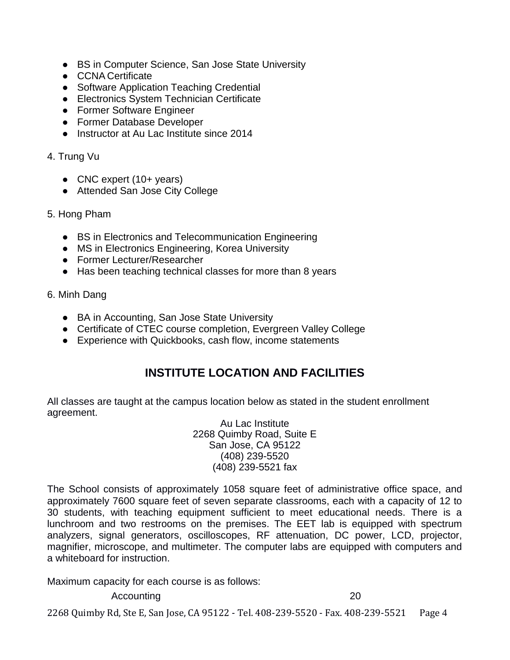- BS in Computer Science, San Jose State University
- CCNA Certificate
- Software Application Teaching Credential
- Electronics System Technician Certificate
- Former Software Engineer
- Former Database Developer
- Instructor at Au Lac Institute since 2014

# 4. Trung Vu

- CNC expert (10+ years)
- Attended San Jose City College
- 5. Hong Pham
	- BS in Electronics and Telecommunication Engineering
	- MS in Electronics Engineering, Korea University
	- Former Lecturer/Researcher
	- Has been teaching technical classes for more than 8 years

# 6. Minh Dang

- BA in Accounting, San Jose State University
- Certificate of CTEC course completion, Evergreen Valley College
- Experience with Quickbooks, cash flow, income statements

# **INSTITUTE LOCATION AND FACILITIES**

All classes are taught at the campus location below as stated in the student enrollment agreement.

Au Lac Institute 2268 Quimby Road, Suite E San Jose, CA 95122 (408) 239-5520 (408) 239-5521 fax

The School consists of approximately 1058 square feet of administrative office space, and approximately 7600 square feet of seven separate classrooms, each with a capacity of 12 to 30 students, with teaching equipment sufficient to meet educational needs. There is a lunchroom and two restrooms on the premises. The EET lab is equipped with spectrum analyzers, signal generators, oscilloscopes, RF attenuation, DC power, LCD, projector, magnifier, microscope, and multimeter. The computer labs are equipped with computers and a whiteboard for instruction.

Maximum capacity for each course is as follows:

Accounting 20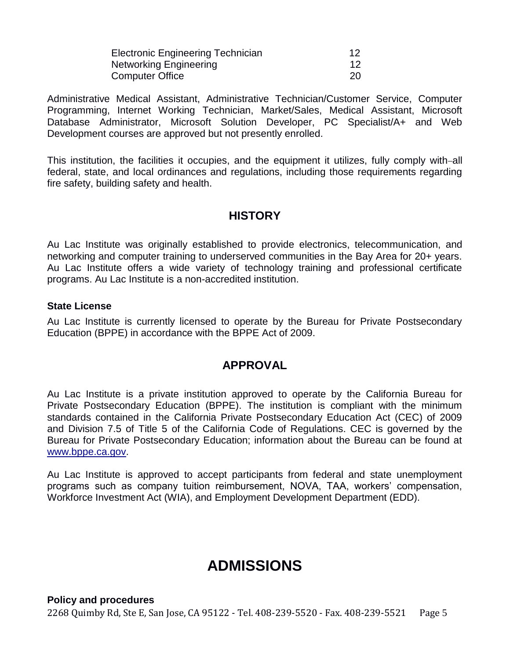| <b>Electronic Engineering Technician</b> | 12  |
|------------------------------------------|-----|
| Networking Engineering                   |     |
| Computer Office                          | -20 |

Administrative Medical Assistant, Administrative Technician/Customer Service, Computer Programming, Internet Working Technician, Market/Sales, Medical Assistant, Microsoft Database Administrator, Microsoft Solution Developer, PC Specialist/A+ and Web Development courses are approved but not presently enrolled.

This institution, the facilities it occupies, and the equipment it utilizes, fully comply with-all federal, state, and local ordinances and regulations, including those requirements regarding fire safety, building safety and health.

# **HISTORY**

Au Lac Institute was originally established to provide electronics, telecommunication, and networking and computer training to underserved communities in the Bay Area for 20+ years. Au Lac Institute offers a wide variety of technology training and professional certificate programs. Au Lac Institute is a non-accredited institution.

# **State License**

Au Lac Institute is currently licensed to operate by the Bureau for Private Postsecondary Education (BPPE) in accordance with the BPPE Act of 2009.

# **APPROVAL**

Au Lac Institute is a private institution approved to operate by the California Bureau for Private Postsecondary Education (BPPE). The institution is compliant with the minimum standards contained in the California Private Postsecondary Education Act (CEC) of 2009 and Division 7.5 of Title 5 of the California Code of Regulations. CEC is governed by the Bureau for Private Postsecondary Education; information about the Bureau can be found a[t](http://www.bppe.ca.gov/) [www.bppe.ca.gov.](http://www.bppe.ca.gov/)

Au Lac Institute is approved to accept participants from federal and state unemployment programs such as company tuition reimbursement, NOVA, TAA, workers' compensation, Workforce Investment Act (WIA), and Employment Development Department (EDD).

# **ADMISSIONS**

2268 Quimby Rd, Ste E, San Jose, CA 95122 - Tel. 408-239-5520 - Fax. 408-239-5521 Page 5 **Policy and procedures**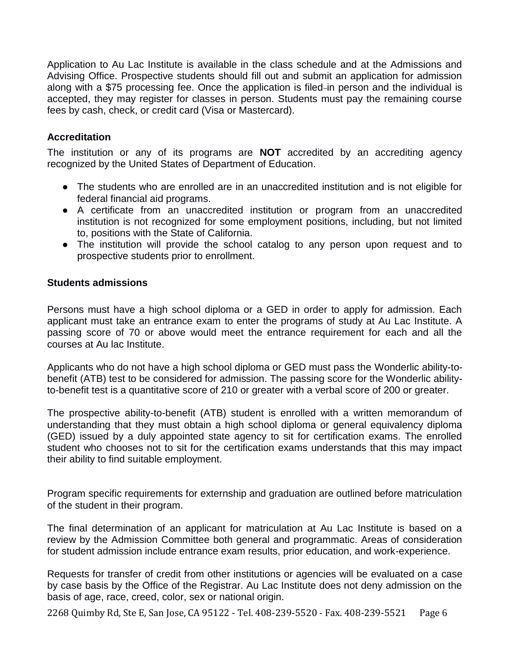Application to Au Lac Institute is available in the class schedule and at the Admissions and Advising Office. Prospective students should fill out and submit an application for admission along with a \$75 processing fee. Once the application is filed-in person and the individual is accepted, they may register for classes in person. Students must pay the remaining course fees by cash, check, or credit card (Visa or Mastercard).

# **Accreditation**

The institution or any of its programs are **NOT** accredited by an accrediting agency recognized by the United States of Department of Education.

- The students who are enrolled are in an unaccredited institution and is not eligible for federal financial aid programs.
- A certificate from an unaccredited institution or program from an unaccredited institution is not recognized for some employment positions, including, but not limited to, positions with the State of California.
- The institution will provide the school catalog to any person upon request and to prospective students prior to enrollment.

# **Students admissions**

Persons must have a high school diploma or a GED in order to apply for admission. Each applicant must take an entrance exam to enter the programs of study at Au Lac Institute. A passing score of 70 or above would meet the entrance requirement for each and all the courses at Au lac Institute.

Applicants who do not have a high school diploma or GED must pass the Wonderlic ability-tobenefit (ATB) test to be considered for admission. The passing score for the Wonderlic abilityto-benefit test is a quantitative score of 210 or greater with a verbal score of 200 or greater.

The prospective ability-to-benefit (ATB) student is enrolled with a written memorandum of understanding that they must obtain a high school diploma or general equivalency diploma (GED) issued by a duly appointed state agency to sit for certification exams. The enrolled student who chooses not to sit for the certification exams understands that this may impact their ability to find suitable employment.

Program specific requirements for externship and graduation are outlined before matriculation of the student in their program.

The final determination of an applicant for matriculation at Au Lac Institute is based on a review by the Admission Committee both general and programmatic. Areas of consideration for student admission include entrance exam results, prior education, and work-experience.

Requests for transfer of credit from other institutions or agencies will be evaluated on a case by case basis by the Office of the Registrar. Au Lac Institute does not deny admission on the basis of age, race, creed, color, sex or national origin.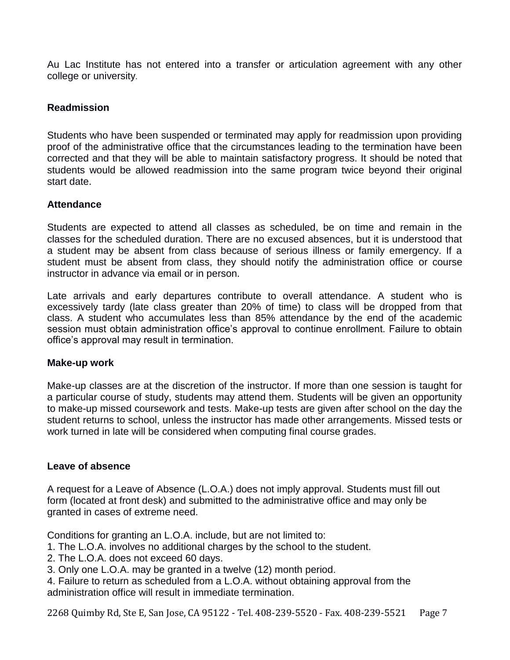Au Lac Institute has not entered into a transfer or articulation agreement with any other college or university.

# **Readmission**

Students who have been suspended or terminated may apply for readmission upon providing proof of the administrative office that the circumstances leading to the termination have been corrected and that they will be able to maintain satisfactory progress. It should be noted that students would be allowed readmission into the same program twice beyond their original start date.

# **Attendance**

Students are expected to attend all classes as scheduled, be on time and remain in the classes for the scheduled duration. There are no excused absences, but it is understood that a student may be absent from class because of serious illness or family emergency. If a student must be absent from class, they should notify the administration office or course instructor in advance via email or in person.

Late arrivals and early departures contribute to overall attendance. A student who is excessively tardy (late class greater than 20% of time) to class will be dropped from that class. A student who accumulates less than 85% attendance by the end of the academic session must obtain administration office's approval to continue enrollment. Failure to obtain office's approval may result in termination.

# **Make-up work**

Make-up classes are at the discretion of the instructor. If more than one session is taught for a particular course of study, students may attend them. Students will be given an opportunity to make-up missed coursework and tests. Make-up tests are given after school on the day the student returns to school, unless the instructor has made other arrangements. Missed tests or work turned in late will be considered when computing final course grades.

# **Leave of absence**

A request for a Leave of Absence (L.O.A.) does not imply approval. Students must fill out form (located at front desk) and submitted to the administrative office and may only be granted in cases of extreme need.

Conditions for granting an L.O.A. include, but are not limited to:

- 1. The L.O.A. involves no additional charges by the school to the student.
- 2. The L.O.A. does not exceed 60 days.
- 3. Only one L.O.A. may be granted in a twelve (12) month period.
- 4. Failure to return as scheduled from a L.O.A. without obtaining approval from the administration office will result in immediate termination.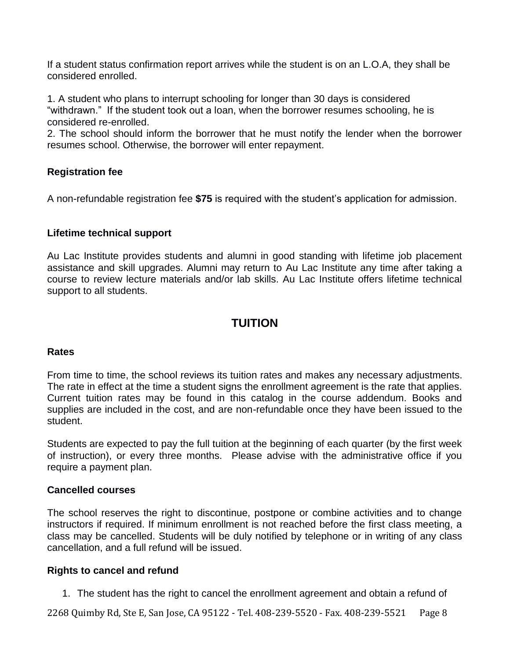If a student status confirmation report arrives while the student is on an L.O.A, they shall be considered enrolled.

1. A student who plans to interrupt schooling for longer than 30 days is considered "withdrawn." If the student took out a loan, when the borrower resumes schooling, he is considered re-enrolled.

2. The school should inform the borrower that he must notify the lender when the borrower resumes school. Otherwise, the borrower will enter repayment.

# **Registration fee**

A non-refundable registration fee **\$75** is required with the student's application for admission.

# **Lifetime technical support**

Au Lac Institute provides students and alumni in good standing with lifetime job placement assistance and skill upgrades. Alumni may return to Au Lac Institute any time after taking a course to review lecture materials and/or lab skills. Au Lac Institute offers lifetime technical support to all students.

# **TUITION**

# **Rates**

From time to time, the school reviews its tuition rates and makes any necessary adjustments. The rate in effect at the time a student signs the enrollment agreement is the rate that applies. Current tuition rates may be found in this catalog in the course addendum. Books and supplies are included in the cost, and are non-refundable once they have been issued to the student.

Students are expected to pay the full tuition at the beginning of each quarter (by the first week of instruction), or every three months. Please advise with the administrative office if you require a payment plan.

# **Cancelled courses**

The school reserves the right to discontinue, postpone or combine activities and to change instructors if required. If minimum enrollment is not reached before the first class meeting, a class may be cancelled. Students will be duly notified by telephone or in writing of any class cancellation, and a full refund will be issued.

# **Rights to cancel and refund**

1. The student has the right to cancel the enrollment agreement and obtain a refund of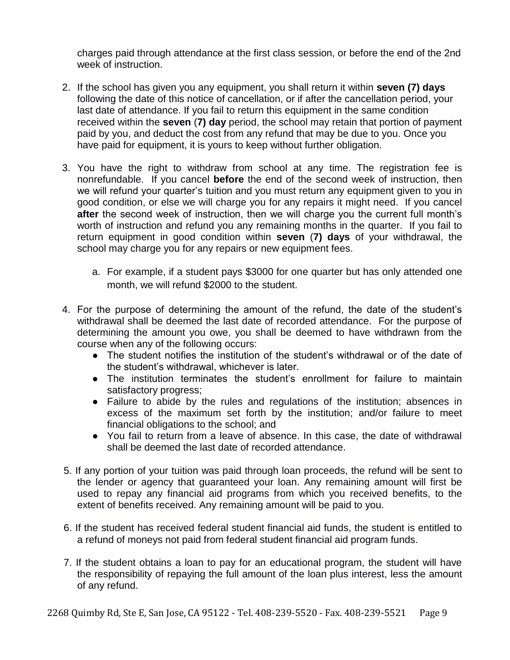charges paid through attendance at the first class session, or before the end of the 2nd week of instruction.

- 2. If the school has given you any equipment, you shall return it within **seven (7) days** following the date of this notice of cancellation, or if after the cancellation period, your last date of attendance. If you fail to return this equipment in the same condition received within the **seven** (**7) day** period, the school may retain that portion of payment paid by you, and deduct the cost from any refund that may be due to you. Once you have paid for equipment, it is yours to keep without further obligation.
- 3. You have the right to withdraw from school at any time. The registration fee is nonrefundable. If you cancel **before** the end of the second week of instruction, then we will refund your quarter's tuition and you must return any equipment given to you in good condition, or else we will charge you for any repairs it might need. If you cancel **after** the second week of instruction, then we will charge you the current full month's worth of instruction and refund you any remaining months in the quarter. If you fail to return equipment in good condition within **seven** (**7) days** of your withdrawal, the school may charge you for any repairs or new equipment fees.
	- a. For example, if a student pays \$3000 for one quarter but has only attended one month, we will refund \$2000 to the student.
- 4. For the purpose of determining the amount of the refund, the date of the student's withdrawal shall be deemed the last date of recorded attendance. For the purpose of determining the amount you owe, you shall be deemed to have withdrawn from the course when any of the following occurs:
	- The student notifies the institution of the student's withdrawal or of the date of the student's withdrawal, whichever is later.
	- The institution terminates the student's enrollment for failure to maintain satisfactory progress;
	- Failure to abide by the rules and regulations of the institution; absences in excess of the maximum set forth by the institution; and/or failure to meet financial obligations to the school; and
	- You fail to return from a leave of absence. In this case, the date of withdrawal shall be deemed the last date of recorded attendance.
- 5. If any portion of your tuition was paid through loan proceeds, the refund will be sent to the lender or agency that guaranteed your loan. Any remaining amount will first be used to repay any financial aid programs from which you received benefits, to the extent of benefits received. Any remaining amount will be paid to you.
- 6. If the student has received federal student financial aid funds, the student is entitled to a refund of moneys not paid from federal student financial aid program funds.
- 7. If the student obtains a loan to pay for an educational program, the student will have the responsibility of repaying the full amount of the loan plus interest, less the amount of any refund.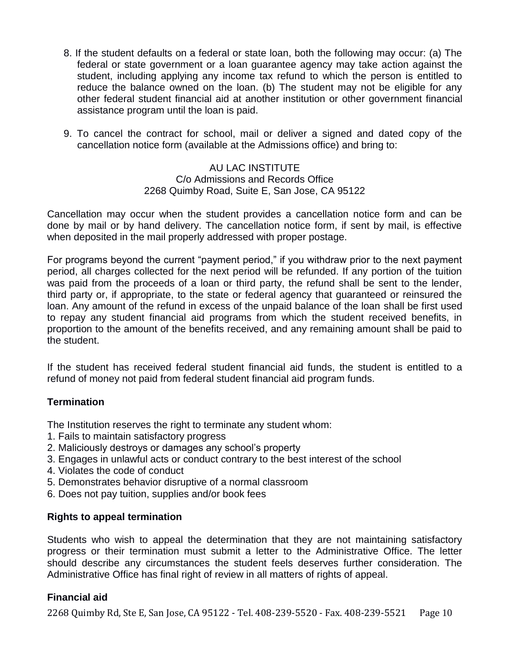- 8. If the student defaults on a federal or state loan, both the following may occur: (a) The federal or state government or a loan guarantee agency may take action against the student, including applying any income tax refund to which the person is entitled to reduce the balance owned on the loan. (b) The student may not be eligible for any other federal student financial aid at another institution or other government financial assistance program until the loan is paid.
- 9. To cancel the contract for school, mail or deliver a signed and dated copy of the cancellation notice form (available at the Admissions office) and bring to:

# AU LAC INSTITUTE C/o Admissions and Records Office 2268 Quimby Road, Suite E, San Jose, CA 95122

Cancellation may occur when the student provides a cancellation notice form and can be done by mail or by hand delivery. The cancellation notice form, if sent by mail, is effective when deposited in the mail properly addressed with proper postage.

For programs beyond the current "payment period," if you withdraw prior to the next payment period, all charges collected for the next period will be refunded. If any portion of the tuition was paid from the proceeds of a loan or third party, the refund shall be sent to the lender, third party or, if appropriate, to the state or federal agency that guaranteed or reinsured the loan. Any amount of the refund in excess of the unpaid balance of the loan shall be first used to repay any student financial aid programs from which the student received benefits, in proportion to the amount of the benefits received, and any remaining amount shall be paid to the student.

If the student has received federal student financial aid funds, the student is entitled to a refund of money not paid from federal student financial aid program funds.

# **Termination**

The Institution reserves the right to terminate any student whom:

- 1. Fails to maintain satisfactory progress
- 2. Maliciously destroys or damages any school's property
- 3. Engages in unlawful acts or conduct contrary to the best interest of the school
- 4. Violates the code of conduct
- 5. Demonstrates behavior disruptive of a normal classroom
- 6. Does not pay tuition, supplies and/or book fees

# **Rights to appeal termination**

Students who wish to appeal the determination that they are not maintaining satisfactory progress or their termination must submit a letter to the Administrative Office. The letter should describe any circumstances the student feels deserves further consideration. The Administrative Office has final right of review in all matters of rights of appeal.

# **Financial aid**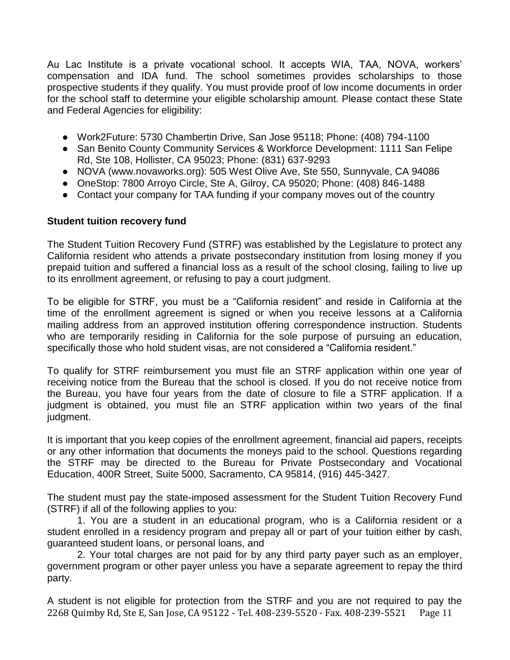Au Lac Institute is a private vocational school. It accepts WIA, TAA, NOVA, workers' compensation and IDA fund. The school sometimes provides scholarships to those prospective students if they qualify. You must provide proof of low income documents in order for the school staff to determine your eligible scholarship amount. Please contact these State and Federal Agencies for eligibility:

- Work2Future: 5730 Chambertin Drive, San Jose 95118; Phone: (408) 794-1100
- San Benito County Community Services & Workforce Development: 1111 San Felipe Rd, Ste 108, Hollister, CA 95023; Phone: (831) 637-9293
- NOVA (www.novaworks.org): 505 West Olive Ave, Ste 550, Sunnyvale, CA 94086
- OneStop: 7800 Arroyo Circle, Ste A, Gilroy, CA 95020; Phone: (408) 846-1488
- Contact your company for TAA funding if your company moves out of the country

### **Student tuition recovery fund**

The Student Tuition Recovery Fund (STRF) was established by the Legislature to protect any California resident who attends a private postsecondary institution from losing money if you prepaid tuition and suffered a financial loss as a result of the school closing, failing to live up to its enrollment agreement, or refusing to pay a court judgment.

To be eligible for STRF, you must be a "California resident" and reside in California at the time of the enrollment agreement is signed or when you receive lessons at a California mailing address from an approved institution offering correspondence instruction. Students who are temporarily residing in California for the sole purpose of pursuing an education, specifically those who hold student visas, are not considered a "California resident."

To qualify for STRF reimbursement you must file an STRF application within one year of receiving notice from the Bureau that the school is closed. If you do not receive notice from the Bureau, you have four years from the date of closure to file a STRF application. If a judgment is obtained, you must file an STRF application within two years of the final judgment.

It is important that you keep copies of the enrollment agreement, financial aid papers, receipts or any other information that documents the moneys paid to the school. Questions regarding the STRF may be directed to the Bureau for Private Postsecondary and Vocational Education, 400R Street, Suite 5000, Sacramento, CA 95814, (916) 445-3427.

The student must pay the state-imposed assessment for the Student Tuition Recovery Fund (STRF) if all of the following applies to you:

1. You are a student in an educational program, who is a California resident or a student enrolled in a residency program and prepay all or part of your tuition either by cash, guaranteed student loans, or personal loans, and

2. Your total charges are not paid for by any third party payer such as an employer, government program or other payer unless you have a separate agreement to repay the third party.

2268 Quimby Rd, Ste E, San Jose, CA 95122 - Tel. 408-239-5520 - Fax. 408-239-5521 Page 11 A student is not eligible for protection from the STRF and you are not required to pay the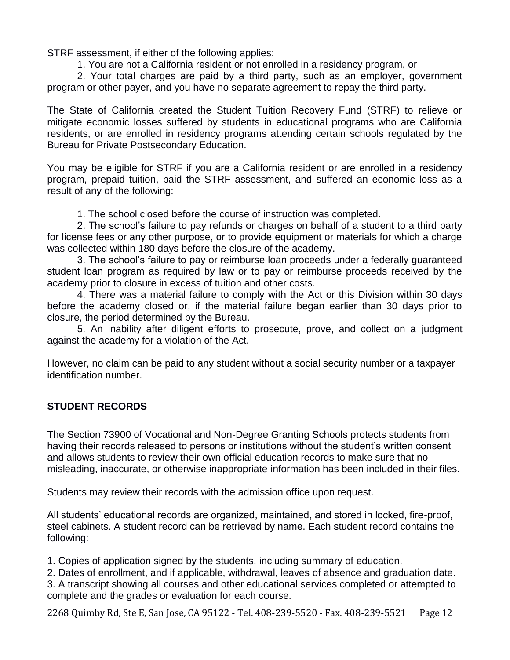STRF assessment, if either of the following applies:

1. You are not a California resident or not enrolled in a residency program, or

2. Your total charges are paid by a third party, such as an employer, government program or other payer, and you have no separate agreement to repay the third party.

The State of California created the Student Tuition Recovery Fund (STRF) to relieve or mitigate economic losses suffered by students in educational programs who are California residents, or are enrolled in residency programs attending certain schools regulated by the Bureau for Private Postsecondary Education.

You may be eligible for STRF if you are a California resident or are enrolled in a residency program, prepaid tuition, paid the STRF assessment, and suffered an economic loss as a result of any of the following:

1. The school closed before the course of instruction was completed.

2. The school's failure to pay refunds or charges on behalf of a student to a third party for license fees or any other purpose, or to provide equipment or materials for which a charge was collected within 180 days before the closure of the academy.

3. The school's failure to pay or reimburse loan proceeds under a federally guaranteed student loan program as required by law or to pay or reimburse proceeds received by the academy prior to closure in excess of tuition and other costs.

4. There was a material failure to comply with the Act or this Division within 30 days before the academy closed or, if the material failure began earlier than 30 days prior to closure, the period determined by the Bureau.

5. An inability after diligent efforts to prosecute, prove, and collect on a judgment against the academy for a violation of the Act.

However, no claim can be paid to any student without a social security number or a taxpayer identification number.

# **STUDENT RECORDS**

The Section 73900 of Vocational and Non-Degree Granting Schools protects students from having their records released to persons or institutions without the student's written consent and allows students to review their own official education records to make sure that no misleading, inaccurate, or otherwise inappropriate information has been included in their files.

Students may review their records with the admission office upon request.

All students' educational records are organized, maintained, and stored in locked, fire-proof, steel cabinets. A student record can be retrieved by name. Each student record contains the following:

1. Copies of application signed by the students, including summary of education.

2. Dates of enrollment, and if applicable, withdrawal, leaves of absence and graduation date.

3. A transcript showing all courses and other educational services completed or attempted to complete and the grades or evaluation for each course.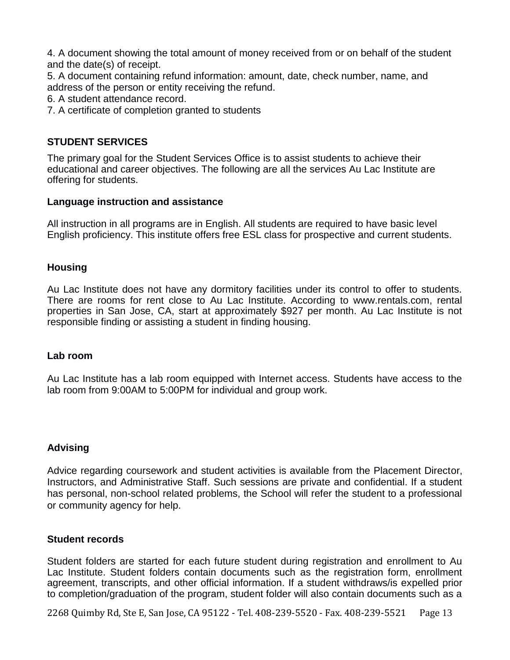4. A document showing the total amount of money received from or on behalf of the student and the date(s) of receipt.

5. A document containing refund information: amount, date, check number, name, and address of the person or entity receiving the refund.

6. A student attendance record.

7. A certificate of completion granted to students

# **STUDENT SERVICES**

The primary goal for the Student Services Office is to assist students to achieve their educational and career objectives. The following are all the services Au Lac Institute are offering for students.

### **Language instruction and assistance**

All instruction in all programs are in English. All students are required to have basic level English proficiency. This institute offers free ESL class for prospective and current students.

# **Housing**

Au Lac Institute does not have any dormitory facilities under its control to offer to students. There are rooms for rent close to Au Lac Institute. According to www.rentals.com, rental properties in San Jose, CA, start at approximately \$927 per month. Au Lac Institute is not responsible finding or assisting a student in finding housing.

### **Lab room**

Au Lac Institute has a lab room equipped with Internet access. Students have access to the lab room from 9:00AM to 5:00PM for individual and group work.

### **Advising**

Advice regarding coursework and student activities is available from the Placement Director, Instructors, and Administrative Staff. Such sessions are private and confidential. If a student has personal, non-school related problems, the School will refer the student to a professional or community agency for help.

### **Student records**

Student folders are started for each future student during registration and enrollment to Au Lac Institute. Student folders contain documents such as the registration form, enrollment agreement, transcripts, and other official information. If a student withdraws/is expelled prior to completion/graduation of the program, student folder will also contain documents such as a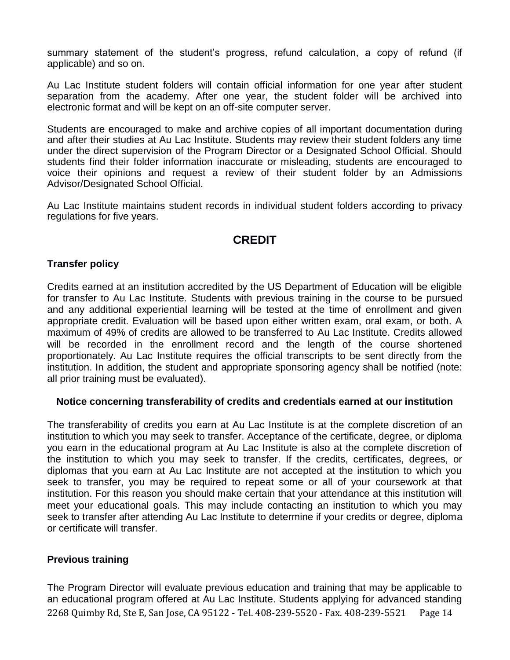summary statement of the student's progress, refund calculation, a copy of refund (if applicable) and so on.

Au Lac Institute student folders will contain official information for one year after student separation from the academy. After one year, the student folder will be archived into electronic format and will be kept on an off-site computer server.

Students are encouraged to make and archive copies of all important documentation during and after their studies at Au Lac Institute. Students may review their student folders any time under the direct supervision of the Program Director or a Designated School Official. Should students find their folder information inaccurate or misleading, students are encouraged to voice their opinions and request a review of their student folder by an Admissions Advisor/Designated School Official.

Au Lac Institute maintains student records in individual student folders according to privacy regulations for five years.

# **CREDIT**

# **Transfer policy**

Credits earned at an institution accredited by the US Department of Education will be eligible for transfer to Au Lac Institute. Students with previous training in the course to be pursued and any additional experiential learning will be tested at the time of enrollment and given appropriate credit. Evaluation will be based upon either written exam, oral exam, or both. A maximum of 49% of credits are allowed to be transferred to Au Lac Institute. Credits allowed will be recorded in the enrollment record and the length of the course shortened proportionately. Au Lac Institute requires the official transcripts to be sent directly from the institution. In addition, the student and appropriate sponsoring agency shall be notified (note: all prior training must be evaluated).

# **Notice concerning transferability of credits and credentials earned at our institution**

The transferability of credits you earn at Au Lac Institute is at the complete discretion of an institution to which you may seek to transfer. Acceptance of the certificate, degree, or diploma you earn in the educational program at Au Lac Institute is also at the complete discretion of the institution to which you may seek to transfer. If the credits, certificates, degrees, or diplomas that you earn at Au Lac Institute are not accepted at the institution to which you seek to transfer, you may be required to repeat some or all of your coursework at that institution. For this reason you should make certain that your attendance at this institution will meet your educational goals. This may include contacting an institution to which you may seek to transfer after attending Au Lac Institute to determine if your credits or degree, diploma or certificate will transfer.

# **Previous training**

2268 Quimby Rd, Ste E, San Jose, CA 95122 - Tel. 408-239-5520 - Fax. 408-239-5521 Page 14 The Program Director will evaluate previous education and training that may be applicable to an educational program offered at Au Lac Institute. Students applying for advanced standing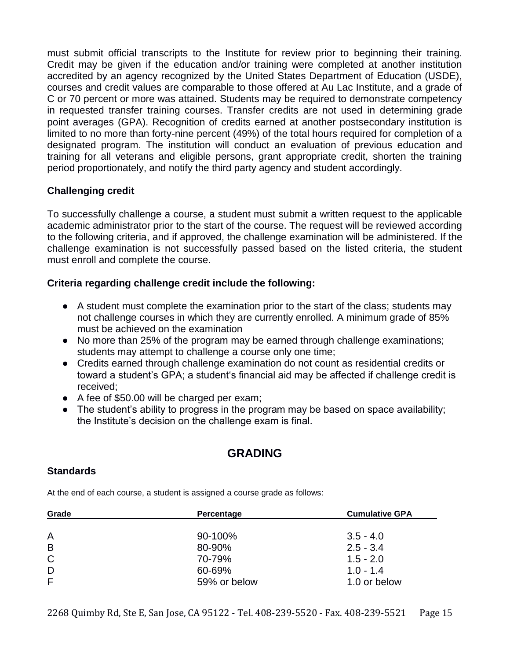must submit official transcripts to the Institute for review prior to beginning their training. Credit may be given if the education and/or training were completed at another institution accredited by an agency recognized by the United States Department of Education (USDE), courses and credit values are comparable to those offered at Au Lac Institute, and a grade of C or 70 percent or more was attained. Students may be required to demonstrate competency in requested transfer training courses. Transfer credits are not used in determining grade point averages (GPA). Recognition of credits earned at another postsecondary institution is limited to no more than forty-nine percent (49%) of the total hours required for completion of a designated program. The institution will conduct an evaluation of previous education and training for all veterans and eligible persons, grant appropriate credit, shorten the training period proportionately, and notify the third party agency and student accordingly.

# **Challenging credit**

To successfully challenge a course, a student must submit a written request to the applicable academic administrator prior to the start of the course. The request will be reviewed according to the following criteria, and if approved, the challenge examination will be administered. If the challenge examination is not successfully passed based on the listed criteria, the student must enroll and complete the course.

# **Criteria regarding challenge credit include the following:**

- A student must complete the examination prior to the start of the class; students may not challenge courses in which they are currently enrolled. A minimum grade of 85% must be achieved on the examination
- No more than 25% of the program may be earned through challenge examinations; students may attempt to challenge a course only one time;
- Credits earned through challenge examination do not count as residential credits or toward a student's GPA; a student's financial aid may be affected if challenge credit is received;
- A fee of \$50.00 will be charged per exam;
- The student's ability to progress in the program may be based on space availability; the Institute's decision on the challenge exam is final.

# **GRADING**

# **Standards**

At the end of each course, a student is assigned a course grade as follows:

| Grade                   | Percentage   | <b>Cumulative GPA</b> |
|-------------------------|--------------|-----------------------|
|                         |              |                       |
| $\overline{\mathsf{A}}$ | 90-100%      | $3.5 - 4.0$           |
| B                       | 80-90%       | $2.5 - 3.4$           |
| $\mathsf{C}$            | 70-79%       | $1.5 - 2.0$           |
| D                       | 60-69%       | $1.0 - 1.4$           |
| F                       | 59% or below | 1.0 or below          |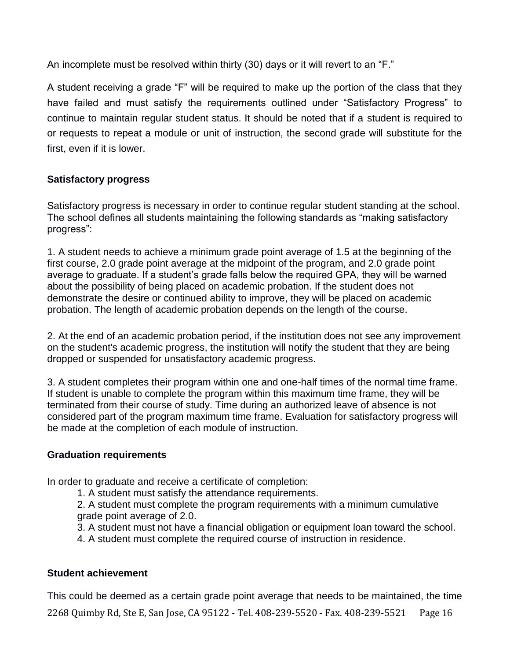An incomplete must be resolved within thirty (30) days or it will revert to an "F."

A student receiving a grade "F" will be required to make up the portion of the class that they have failed and must satisfy the requirements outlined under "Satisfactory Progress" to continue to maintain regular student status. It should be noted that if a student is required to or requests to repeat a module or unit of instruction, the second grade will substitute for the first, even if it is lower.

# **Satisfactory progress**

Satisfactory progress is necessary in order to continue regular student standing at the school. The school defines all students maintaining the following standards as "making satisfactory progress":

1. A student needs to achieve a minimum grade point average of 1.5 at the beginning of the first course, 2.0 grade point average at the midpoint of the program, and 2.0 grade point average to graduate. If a student's grade falls below the required GPA, they will be warned about the possibility of being placed on academic probation. If the student does not demonstrate the desire or continued ability to improve, they will be placed on academic probation. The length of academic probation depends on the length of the course.

2. At the end of an academic probation period, if the institution does not see any improvement on the student's academic progress, the institution will notify the student that they are being dropped or suspended for unsatisfactory academic progress.

3. A student completes their program within one and one-half times of the normal time frame. If student is unable to complete the program within this maximum time frame, they will be terminated from their course of study. Time during an authorized leave of absence is not considered part of the program maximum time frame. Evaluation for satisfactory progress will be made at the completion of each module of instruction.

# **Graduation requirements**

In order to graduate and receive a certificate of completion:

1. A student must satisfy the attendance requirements.

2. A student must complete the program requirements with a minimum cumulative grade point average of 2.0.

3. A student must not have a financial obligation or equipment loan toward the school.

4. A student must complete the required course of instruction in residence.

# **Student achievement**

2268 Quimby Rd, Ste E, San Jose, CA 95122 - Tel. 408-239-5520 - Fax. 408-239-5521 Page 16 This could be deemed as a certain grade point average that needs to be maintained, the time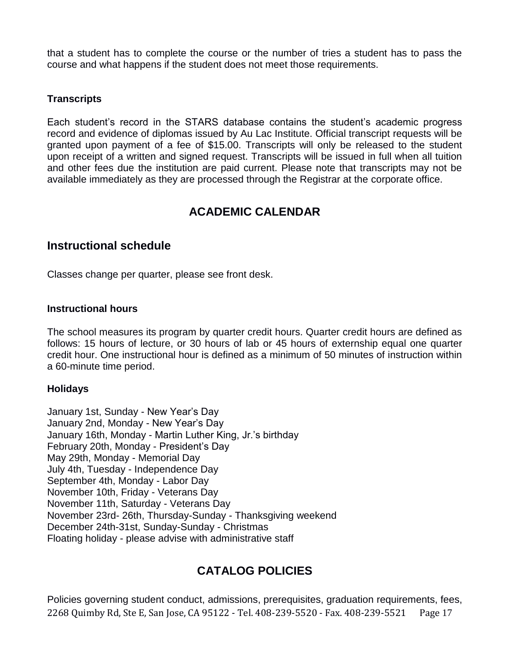that a student has to complete the course or the number of tries a student has to pass the course and what happens if the student does not meet those requirements.

# **Transcripts**

Each student's record in the STARS database contains the student's academic progress record and evidence of diplomas issued by Au Lac Institute. Official transcript requests will be granted upon payment of a fee of \$15.00. Transcripts will only be released to the student upon receipt of a written and signed request. Transcripts will be issued in full when all tuition and other fees due the institution are paid current. Please note that transcripts may not be available immediately as they are processed through the Registrar at the corporate office.

# **ACADEMIC CALENDAR**

# **Instructional schedule**

Classes change per quarter, please see front desk.

# **Instructional hours**

The school measures its program by quarter credit hours. Quarter credit hours are defined as follows: 15 hours of lecture, or 30 hours of lab or 45 hours of externship equal one quarter credit hour. One instructional hour is defined as a minimum of 50 minutes of instruction within a 60-minute time period.

# **Holidays**

January 1st, Sunday - New Year's Day January 2nd, Monday - New Year's Day January 16th, Monday - Martin Luther King, Jr.'s birthday February 20th, Monday - President's Day May 29th, Monday - Memorial Day July 4th, Tuesday - Independence Day September 4th, Monday - Labor Day November 10th, Friday - Veterans Day November 11th, Saturday - Veterans Day November 23rd- 26th, Thursday-Sunday - Thanksgiving weekend December 24th-31st, Sunday-Sunday - Christmas Floating holiday - please advise with administrative staff

# **CATALOG POLICIES**

2268 Quimby Rd, Ste E, San Jose, CA 95122 - Tel. 408-239-5520 - Fax. 408-239-5521 Page 17 Policies governing student conduct, admissions, prerequisites, graduation requirements, fees,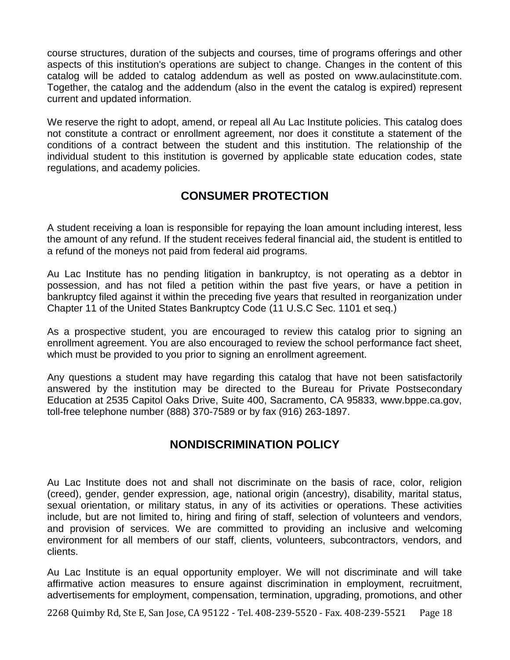course structures, duration of the subjects and courses, time of programs offerings and other aspects of this institution's operations are subject to change. Changes in the content of this catalog will be added to catalog addendum as well as posted on www.aulacinstitute.com. Together, the catalog and the addendum (also in the event the catalog is expired) represent current and updated information.

We reserve the right to adopt, amend, or repeal all Au Lac Institute policies. This catalog does not constitute a contract or enrollment agreement, nor does it constitute a statement of the conditions of a contract between the student and this institution. The relationship of the individual student to this institution is governed by applicable state education codes, state regulations, and academy policies.

# **CONSUMER PROTECTION**

A student receiving a loan is responsible for repaying the loan amount including interest, less the amount of any refund. If the student receives federal financial aid, the student is entitled to a refund of the moneys not paid from federal aid programs.

Au Lac Institute has no pending litigation in bankruptcy, is not operating as a debtor in possession, and has not filed a petition within the past five years, or have a petition in bankruptcy filed against it within the preceding five years that resulted in reorganization under Chapter 11 of the United States Bankruptcy Code (11 U.S.C Sec. 1101 et seq.)

As a prospective student, you are encouraged to review this catalog prior to signing an enrollment agreement. You are also encouraged to review the school performance fact sheet, which must be provided to you prior to signing an enrollment agreement.

Any questions a student may have regarding this catalog that have not been satisfactorily answered by the institution may be directed to the Bureau for Private Postsecondary Education at 2535 Capitol Oaks Drive, Suite 400, Sacramento, CA 95833, www.bppe.ca.gov, toll-free telephone number (888) 370-7589 or by fax (916) 263-1897.

# **NONDISCRIMINATION POLICY**

Au Lac Institute does not and shall not discriminate on the basis of race, color, religion (creed), gender, gender expression, age, national origin (ancestry), disability, marital status, sexual orientation, or military status, in any of its activities or operations. These activities include, but are not limited to, hiring and firing of staff, selection of volunteers and vendors, and provision of services. We are committed to providing an inclusive and welcoming environment for all members of our staff, clients, volunteers, subcontractors, vendors, and clients.

Au Lac Institute is an equal opportunity employer. We will not discriminate and will take affirmative action measures to ensure against discrimination in employment, recruitment, advertisements for employment, compensation, termination, upgrading, promotions, and other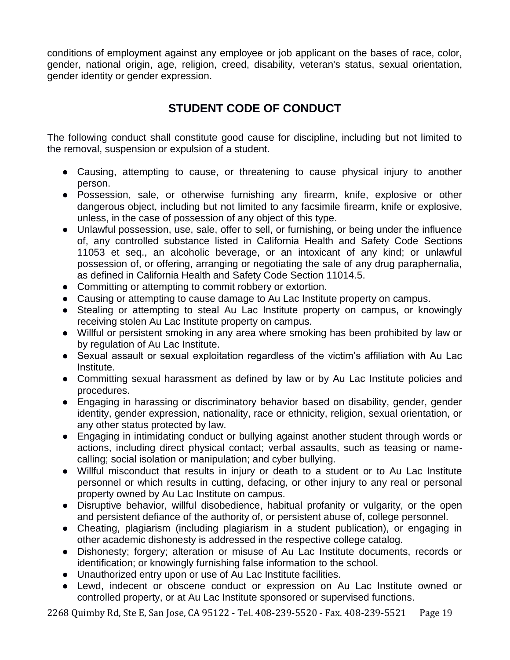conditions of employment against any employee or job applicant on the bases of race, color, gender, national origin, age, religion, creed, disability, veteran's status, sexual orientation, gender identity or gender expression.

# **STUDENT CODE OF CONDUCT**

The following conduct shall constitute good cause for discipline, including but not limited to the removal, suspension or expulsion of a student.

- Causing, attempting to cause, or threatening to cause physical injury to another person.
- Possession, sale, or otherwise furnishing any firearm, knife, explosive or other dangerous object, including but not limited to any facsimile firearm, knife or explosive, unless, in the case of possession of any object of this type.
- Unlawful possession, use, sale, offer to sell, or furnishing, or being under the influence of, any controlled substance listed in California Health and Safety Code Sections 11053 et seq., an alcoholic beverage, or an intoxicant of any kind; or unlawful possession of, or offering, arranging or negotiating the sale of any drug paraphernalia, as defined in California Health and Safety Code Section 11014.5.
- Committing or attempting to commit robbery or extortion.
- Causing or attempting to cause damage to Au Lac Institute property on campus.
- Stealing or attempting to steal Au Lac Institute property on campus, or knowingly receiving stolen Au Lac Institute property on campus.
- Willful or persistent smoking in any area where smoking has been prohibited by law or by regulation of Au Lac Institute.
- Sexual assault or sexual exploitation regardless of the victim's affiliation with Au Lac Institute.
- Committing sexual harassment as defined by law or by Au Lac Institute policies and procedures.
- Engaging in harassing or discriminatory behavior based on disability, gender, gender identity, gender expression, nationality, race or ethnicity, religion, sexual orientation, or any other status protected by law.
- Engaging in intimidating conduct or bullying against another student through words or actions, including direct physical contact; verbal assaults, such as teasing or namecalling; social isolation or manipulation; and cyber bullying.
- Willful misconduct that results in injury or death to a student or to Au Lac Institute personnel or which results in cutting, defacing, or other injury to any real or personal property owned by Au Lac Institute on campus.
- Disruptive behavior, willful disobedience, habitual profanity or vulgarity, or the open and persistent defiance of the authority of, or persistent abuse of, college personnel.
- Cheating, plagiarism (including plagiarism in a student publication), or engaging in other academic dishonesty is addressed in the respective college catalog.
- Dishonesty; forgery; alteration or misuse of Au Lac Institute documents, records or identification; or knowingly furnishing false information to the school.
- Unauthorized entry upon or use of Au Lac Institute facilities.
- Lewd, indecent or obscene conduct or expression on Au Lac Institute owned or controlled property, or at Au Lac Institute sponsored or supervised functions.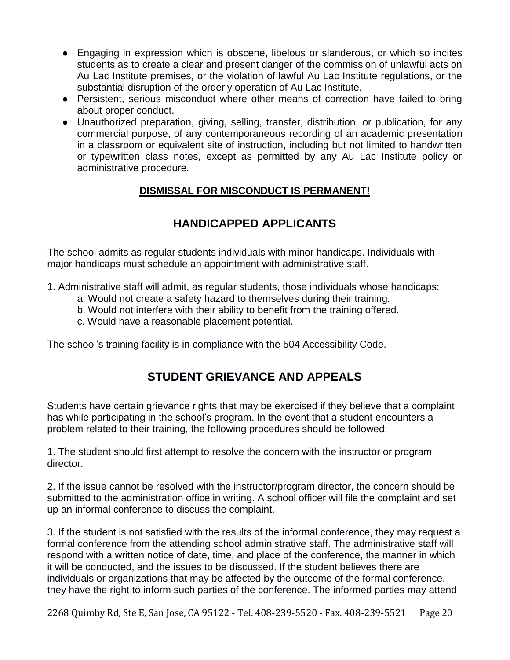- Engaging in expression which is obscene, libelous or slanderous, or which so incites students as to create a clear and present danger of the commission of unlawful acts on Au Lac Institute premises, or the violation of lawful Au Lac Institute regulations, or the substantial disruption of the orderly operation of Au Lac Institute.
- Persistent, serious misconduct where other means of correction have failed to bring about proper conduct.
- Unauthorized preparation, giving, selling, transfer, distribution, or publication, for any commercial purpose, of any contemporaneous recording of an academic presentation in a classroom or equivalent site of instruction, including but not limited to handwritten or typewritten class notes, except as permitted by any Au Lac Institute policy or administrative procedure.

# **DISMISSAL FOR MISCONDUCT IS PERMANENT!**

# **HANDICAPPED APPLICANTS**

The school admits as regular students individuals with minor handicaps. Individuals with major handicaps must schedule an appointment with administrative staff.

- 1. Administrative staff will admit, as regular students, those individuals whose handicaps:
	- a. Would not create a safety hazard to themselves during their training.
	- b. Would not interfere with their ability to benefit from the training offered.
	- c. Would have a reasonable placement potential.

The school's training facility is in compliance with the 504 Accessibility Code.

# **STUDENT GRIEVANCE AND APPEALS**

Students have certain grievance rights that may be exercised if they believe that a complaint has while participating in the school's program. In the event that a student encounters a problem related to their training, the following procedures should be followed:

1. The student should first attempt to resolve the concern with the instructor or program director.

2. If the issue cannot be resolved with the instructor/program director, the concern should be submitted to the administration office in writing. A school officer will file the complaint and set up an informal conference to discuss the complaint.

3. If the student is not satisfied with the results of the informal conference, they may request a formal conference from the attending school administrative staff. The administrative staff will respond with a written notice of date, time, and place of the conference, the manner in which it will be conducted, and the issues to be discussed. If the student believes there are individuals or organizations that may be affected by the outcome of the formal conference, they have the right to inform such parties of the conference. The informed parties may attend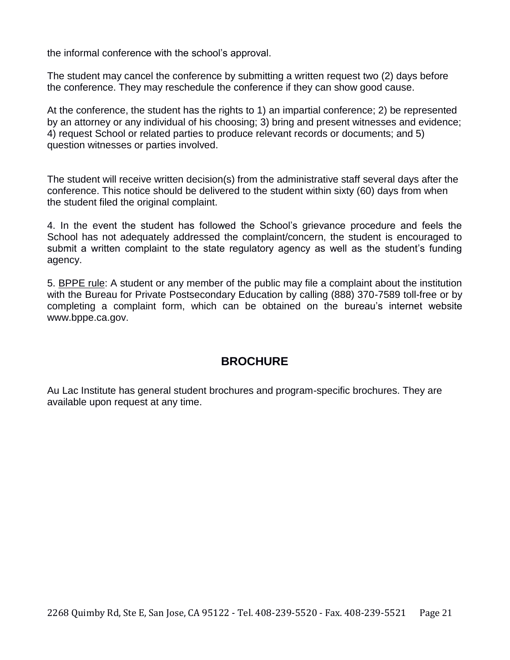the informal conference with the school's approval.

The student may cancel the conference by submitting a written request two (2) days before the conference. They may reschedule the conference if they can show good cause.

At the conference, the student has the rights to 1) an impartial conference; 2) be represented by an attorney or any individual of his choosing; 3) bring and present witnesses and evidence; 4) request School or related parties to produce relevant records or documents; and 5) question witnesses or parties involved.

The student will receive written decision(s) from the administrative staff several days after the conference. This notice should be delivered to the student within sixty (60) days from when the student filed the original complaint.

4. In the event the student has followed the School's grievance procedure and feels the School has not adequately addressed the complaint/concern, the student is encouraged to submit a written complaint to the state regulatory agency as well as the student's funding agency.

5. BPPE rule: A student or any member of the public may file a complaint about the institution with the Bureau for Private Postsecondary Education by calling (888) 370-7589 toll-free or by completing a complaint form, which can be obtained on the bureau's internet website www.bppe.ca.gov.

# **BROCHURE**

Au Lac Institute has general student brochures and program-specific brochures. They are available upon request at any time.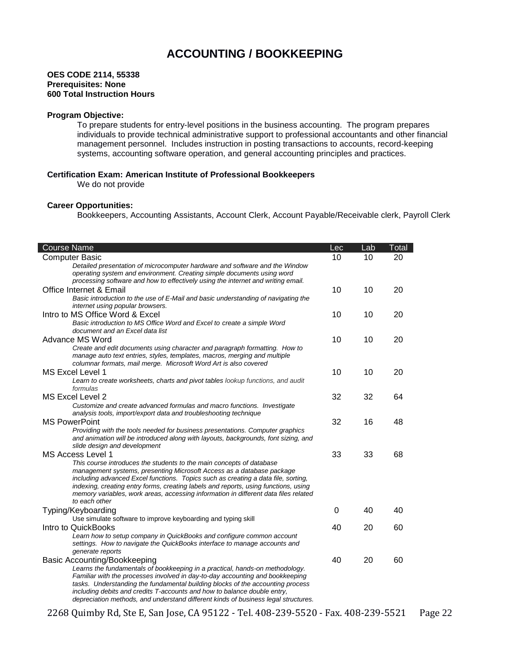# **ACCOUNTING / BOOKKEEPING**

#### **OES CODE 2114, 55338 Prerequisites: None 600 Total Instruction Hours**

#### **Program Objective:**

To prepare students for entry-level positions in the business accounting. The program prepares individuals to provide technical administrative support to professional accountants and other financial management personnel. Includes instruction in posting transactions to accounts, record-keeping systems, accounting software operation, and general accounting principles and practices.

#### **Certification Exam: American Institute of Professional Bookkeepers**

We do not provide

#### **Career Opportunities:**

Bookkeepers, Accounting Assistants, Account Clerk, Account Payable/Receivable clerk, Payroll Clerk

| Course Name                                                                                                                                                                                                                                                                                                                                                                                                                       | Lec | Lab | Total |
|-----------------------------------------------------------------------------------------------------------------------------------------------------------------------------------------------------------------------------------------------------------------------------------------------------------------------------------------------------------------------------------------------------------------------------------|-----|-----|-------|
| <b>Computer Basic</b>                                                                                                                                                                                                                                                                                                                                                                                                             | 10  | 10  | 20    |
| Detailed presentation of microcomputer hardware and software and the Window<br>operating system and environment. Creating simple documents using word<br>processing software and how to effectively using the internet and writing email.                                                                                                                                                                                         |     |     |       |
| Office Internet & Email                                                                                                                                                                                                                                                                                                                                                                                                           | 10  | 10  | 20    |
| Basic introduction to the use of E-Mail and basic understanding of navigating the<br>internet using popular browsers.                                                                                                                                                                                                                                                                                                             |     |     |       |
| Intro to MS Office Word & Excel                                                                                                                                                                                                                                                                                                                                                                                                   | 10  | 10  | 20    |
| Basic introduction to MS Office Word and Excel to create a simple Word<br>document and an Excel data list                                                                                                                                                                                                                                                                                                                         |     |     |       |
| Advance MS Word                                                                                                                                                                                                                                                                                                                                                                                                                   | 10  | 10  | 20    |
| Create and edit documents using character and paragraph formatting. How to<br>manage auto text entries, styles, templates, macros, merging and multiple<br>columnar formats, mail merge. Microsoft Word Art is also covered                                                                                                                                                                                                       |     |     |       |
| MS Excel Level 1                                                                                                                                                                                                                                                                                                                                                                                                                  | 10  | 10  | 20    |
| Learn to create worksheets, charts and pivot tables lookup functions, and audit<br>formulas                                                                                                                                                                                                                                                                                                                                       |     |     |       |
| MS Excel Level 2                                                                                                                                                                                                                                                                                                                                                                                                                  | 32  | 32  | 64    |
| Customize and create advanced formulas and macro functions. Investigate                                                                                                                                                                                                                                                                                                                                                           |     |     |       |
| analysis tools, import/export data and troubleshooting technique                                                                                                                                                                                                                                                                                                                                                                  |     |     |       |
| <b>MS PowerPoint</b>                                                                                                                                                                                                                                                                                                                                                                                                              | 32  | 16  | 48    |
| Providing with the tools needed for business presentations. Computer graphics<br>and animation will be introduced along with layouts, backgrounds, font sizing, and<br>slide design and development                                                                                                                                                                                                                               |     |     |       |
| MS Access Level 1                                                                                                                                                                                                                                                                                                                                                                                                                 | 33  | 33  | 68    |
| This course introduces the students to the main concepts of database<br>management systems, presenting Microsoft Access as a database package<br>including advanced Excel functions. Topics such as creating a data file, sorting,<br>indexing, creating entry forms, creating labels and reports, using functions, using<br>memory variables, work areas, accessing information in different data files related<br>to each other |     |     |       |
| Typing/Keyboarding<br>Use simulate software to improve keyboarding and typing skill                                                                                                                                                                                                                                                                                                                                               | 0   | 40  | 40    |
| Intro to QuickBooks                                                                                                                                                                                                                                                                                                                                                                                                               | 40  | 20  | 60    |
| Learn how to setup company in QuickBooks and configure common account<br>settings. How to navigate the QuickBooks interface to manage accounts and<br>generate reports                                                                                                                                                                                                                                                            |     |     |       |
| Basic Accounting/Bookkeeping                                                                                                                                                                                                                                                                                                                                                                                                      | 40  | 20  | 60    |
| Learns the fundamentals of bookkeeping in a practical, hands-on methodology.<br>Familiar with the processes involved in day-to-day accounting and bookkeeping<br>tasks. Understanding the fundamental building blocks of the accounting process<br>including debits and credits T-accounts and how to balance double entry,<br>depreciation methods, and understand different kinds of business legal structures.                 |     |     |       |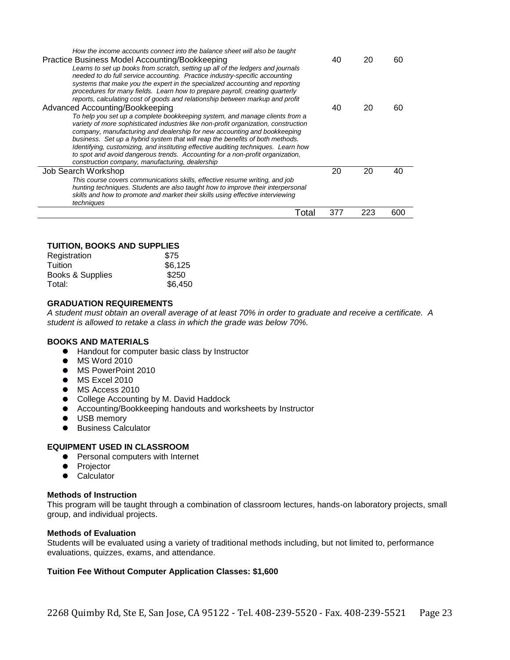| How the income accounts connect into the balance sheet will also be taught                                                                                   |    |    |    |
|--------------------------------------------------------------------------------------------------------------------------------------------------------------|----|----|----|
| Practice Business Model Accounting/Bookkeeping                                                                                                               | 40 | 20 | 60 |
| Learns to set up books from scratch, setting up all of the ledgers and journals                                                                              |    |    |    |
| needed to do full service accounting. Practice industry-specific accounting                                                                                  |    |    |    |
| systems that make you the expert in the specialized accounting and reporting<br>procedures for many fields. Learn how to prepare payroll, creating quarterly |    |    |    |
| reports, calculating cost of goods and relationship between markup and profit                                                                                |    |    |    |
| Advanced Accounting/Bookkeeping                                                                                                                              | 40 | 20 | 60 |
|                                                                                                                                                              |    |    |    |
| To help you set up a complete bookkeeping system, and manage clients from a                                                                                  |    |    |    |
| variety of more sophisticated industries like non-profit organization, construction                                                                          |    |    |    |
| company, manufacturing and dealership for new accounting and bookkeeping                                                                                     |    |    |    |
| business. Set up a hybrid system that will reap the benefits of both methods.                                                                                |    |    |    |
| Identifying, customizing, and instituting effective auditing techniques. Learn how                                                                           |    |    |    |
| to spot and avoid dangerous trends. Accounting for a non-profit organization,                                                                                |    |    |    |
| construction company, manufacturing, dealership                                                                                                              |    |    |    |
| Job Search Workshop                                                                                                                                          | 20 | 20 | 40 |
| This course covers communications skills, effective resume writing, and job                                                                                  |    |    |    |
| hunting techniques. Students are also taught how to improve their interpersonal                                                                              |    |    |    |
| skills and how to promote and market their skills using effective interviewing                                                                               |    |    |    |
| techniques                                                                                                                                                   |    |    |    |
| Total                                                                                                                                                        |    |    |    |

#### **TUITION, BOOKS AND SUPPLIES**

| Registration     | \$75    |
|------------------|---------|
| Tuition          | \$6,125 |
| Books & Supplies | \$250   |
| Total:           | \$6,450 |

#### **GRADUATION REQUIREMENTS**

*A student must obtain an overall average of at least 70% in order to graduate and receive a certificate. A student is allowed to retake a class in which the grade was below 70%.*

#### **BOOKS AND MATERIALS**

- Handout for computer basic class by Instructor
- MS Word 2010
- $\bullet$  MS PowerPoint 2010
- $\bullet$  MS Excel 2010
- $\bullet$  MS Access 2010
- College Accounting by M. David Haddock
- Accounting/Bookkeeping handouts and worksheets by Instructor
- $\bullet$  USB memory
- **•** Business Calculator

#### **EQUIPMENT USED IN CLASSROOM**

- **•** Personal computers with Internet
- **•** Projector
- **•** Calculator

#### **Methods of Instruction**

This program will be taught through a combination of classroom lectures, hands-on laboratory projects, small group, and individual projects.

#### **Methods of Evaluation**

Students will be evaluated using a variety of traditional methods including, but not limited to, performance evaluations, quizzes, exams, and attendance.

#### **Tuition Fee Without Computer Application Classes: \$1,600**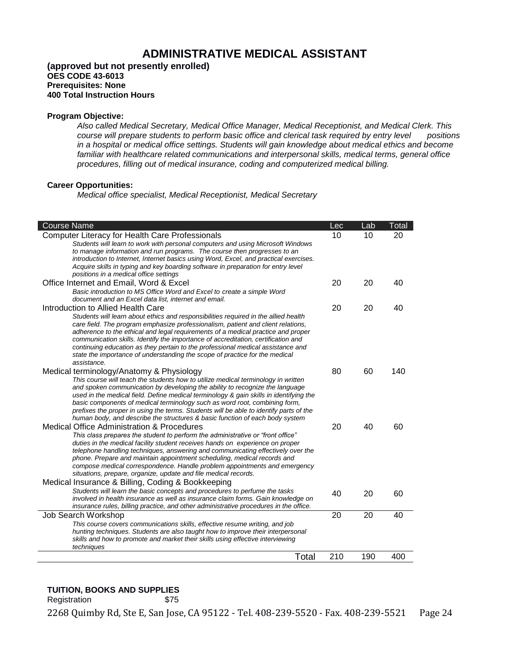# **ADMINISTRATIVE MEDICAL ASSISTANT**

#### **(approved but not presently enrolled) OES CODE 43-6013 Prerequisites: None 400 Total Instruction Hours**

#### **Program Objective:**

*Also called Medical Secretary, Medical Office Manager, Medical Receptionist, and Medical Clerk. This course will prepare students to perform basic office and clerical task required by entry level positions in a hospital or medical office settings. Students will gain knowledge about medical ethics and become familiar with healthcare related communications and interpersonal skills, medical terms, general office procedures, filling out of medical insurance, coding and computerized medical billing.* 

#### **Career Opportunities:**

*Medical office specialist, Medical Receptionist, Medical Secretary*

| <b>Course Name</b>                                                                                                                                                                                                                                                                                                                                                                                                                                                                                                                                                      | Lec | Lab | Total |
|-------------------------------------------------------------------------------------------------------------------------------------------------------------------------------------------------------------------------------------------------------------------------------------------------------------------------------------------------------------------------------------------------------------------------------------------------------------------------------------------------------------------------------------------------------------------------|-----|-----|-------|
| <b>Computer Literacy for Health Care Professionals</b><br>Students will learn to work with personal computers and using Microsoft Windows<br>to manage information and run programs. The course then progresses to an<br>introduction to Internet, Internet basics using Word, Excel, and practical exercises.<br>Acquire skills in typing and key boarding software in preparation for entry level<br>positions in a medical office settings                                                                                                                           | 10  | 10  | 20    |
| Office Internet and Email, Word & Excel<br>Basic introduction to MS Office Word and Excel to create a simple Word<br>document and an Excel data list, internet and email.                                                                                                                                                                                                                                                                                                                                                                                               | 20  | 20  | 40    |
| Introduction to Allied Health Care<br>Students will learn about ethics and responsibilities required in the allied health<br>care field. The program emphasize professionalism, patient and client relations,<br>adherence to the ethical and legal requirements of a medical practice and proper<br>communication skills. Identify the importance of accreditation, certification and<br>continuing education as they pertain to the professional medical assistance and<br>state the importance of understanding the scope of practice for the medical<br>assistance. | 20  | 20  | 40    |
| Medical terminology/Anatomy & Physiology<br>This course will teach the students how to utilize medical terminology in written<br>and spoken communication by developing the ability to recognize the language<br>used in the medical field. Define medical terminology & gain skills in identifying the<br>basic components of medical terminology such as word root, combining form,<br>prefixes the proper in using the terms. Students will be able to identify parts of the<br>human body, and describe the structures & basic function of each body system         | 80  | 60  | 140   |
| <b>Medical Office Administration &amp; Procedures</b><br>This class prepares the student to perform the administrative or "front office"<br>duties in the medical facility student receives hands on experience on proper<br>telephone handling techniques, answering and communicating effectively over the<br>phone. Prepare and maintain appointment scheduling, medical records and<br>compose medical correspondence. Handle problem appointments and emergency<br>situations, prepare, organize, update and file medical records.                                 | 20  | 40  | 60    |
| Medical Insurance & Billing, Coding & Bookkeeping<br>Students will learn the basic concepts and procedures to perfume the tasks<br>involved in health insurance as well as insurance claim forms. Gain knowledge on<br>insurance rules, billing practice, and other administrative procedures in the office.                                                                                                                                                                                                                                                            | 40  | 20  | 60    |
| Job Search Workshop<br>This course covers communications skills, effective resume writing, and job<br>hunting techniques. Students are also taught how to improve their interpersonal<br>skills and how to promote and market their skills using effective interviewing<br>techniques                                                                                                                                                                                                                                                                                   | 20  | 20  | 40    |
| Total                                                                                                                                                                                                                                                                                                                                                                                                                                                                                                                                                                   | 210 | 190 | 400   |

#### **TUITION, BOOKS AND SUPPLIES**

Registration \$75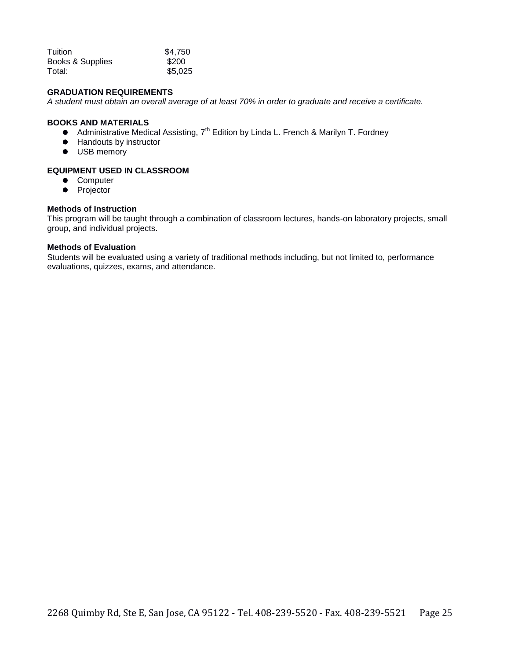| Tuition          | \$4.750 |
|------------------|---------|
| Books & Supplies | \$200   |
| Total:           | \$5,025 |

#### **GRADUATION REQUIREMENTS**

*A student must obtain an overall average of at least 70% in order to graduate and receive a certificate.*

#### **BOOKS AND MATERIALS**

- Administrative Medical Assisting, 7<sup>th</sup> Edition by Linda L. French & Marilyn T. Fordney
- Handouts by instructor
- $\bullet$  USB memory

#### **EQUIPMENT USED IN CLASSROOM**

- **•** Computer
- Projector

#### **Methods of Instruction**

This program will be taught through a combination of classroom lectures, hands-on laboratory projects, small group, and individual projects.

#### **Methods of Evaluation**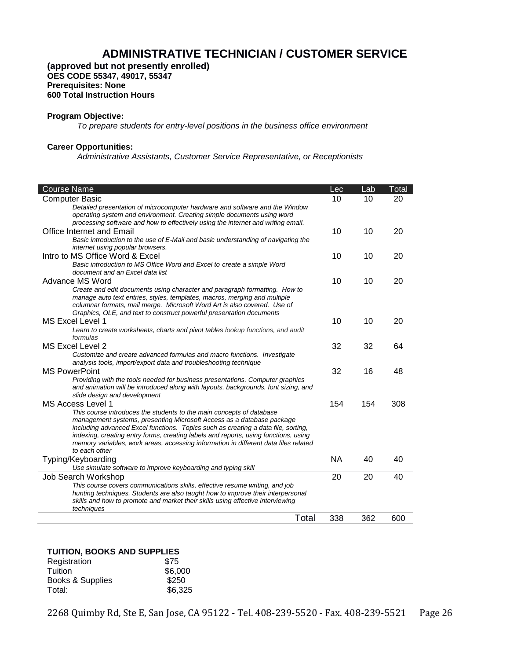# **ADMINISTRATIVE TECHNICIAN / CUSTOMER SERVICE**

**(approved but not presently enrolled) OES CODE 55347, 49017, 55347 Prerequisites: None 600 Total Instruction Hours**

#### **Program Objective:**

*To prepare students for entry-level positions in the business office environment*

#### **Career Opportunities:**

*Administrative Assistants, Customer Service Representative, or Receptionists*

| <b>Course Name</b>                                                                                                                                                  | Lec       | Lab | Total |
|---------------------------------------------------------------------------------------------------------------------------------------------------------------------|-----------|-----|-------|
| <b>Computer Basic</b>                                                                                                                                               | 10        | 10  | 20    |
| Detailed presentation of microcomputer hardware and software and the Window                                                                                         |           |     |       |
| operating system and environment. Creating simple documents using word                                                                                              |           |     |       |
| processing software and how to effectively using the internet and writing email.                                                                                    |           |     |       |
| Office Internet and Email                                                                                                                                           | 10        | 10  | 20    |
| Basic introduction to the use of E-Mail and basic understanding of navigating the<br>internet using popular browsers.                                               |           |     |       |
| Intro to MS Office Word & Excel                                                                                                                                     | 10        | 10  | 20    |
| Basic introduction to MS Office Word and Excel to create a simple Word                                                                                              |           |     |       |
| document and an Excel data list                                                                                                                                     |           |     |       |
| Advance MS Word                                                                                                                                                     | 10        | 10  | 20    |
| Create and edit documents using character and paragraph formatting. How to<br>manage auto text entries, styles, templates, macros, merging and multiple             |           |     |       |
| columnar formats, mail merge. Microsoft Word Art is also covered. Use of                                                                                            |           |     |       |
| Graphics, OLE, and text to construct powerful presentation documents                                                                                                |           |     |       |
| MS Excel Level 1                                                                                                                                                    | 10        | 10  | 20    |
| Learn to create worksheets, charts and pivot tables lookup functions, and audit                                                                                     |           |     |       |
| formulas                                                                                                                                                            |           |     |       |
| MS Excel Level 2                                                                                                                                                    | 32        | 32  | 64    |
| Customize and create advanced formulas and macro functions. Investigate                                                                                             |           |     |       |
| analysis tools, import/export data and troubleshooting technique                                                                                                    |           |     |       |
| <b>MS PowerPoint</b>                                                                                                                                                | 32        | 16  | 48    |
| Providing with the tools needed for business presentations. Computer graphics<br>and animation will be introduced along with layouts, backgrounds, font sizing, and |           |     |       |
| slide design and development                                                                                                                                        |           |     |       |
| MS Access Level 1                                                                                                                                                   | 154       | 154 | 308   |
| This course introduces the students to the main concepts of database                                                                                                |           |     |       |
| management systems, presenting Microsoft Access as a database package                                                                                               |           |     |       |
| including advanced Excel functions. Topics such as creating a data file, sorting,                                                                                   |           |     |       |
| indexing, creating entry forms, creating labels and reports, using functions, using                                                                                 |           |     |       |
| memory variables, work areas, accessing information in different data files related<br>to each other                                                                |           |     |       |
|                                                                                                                                                                     | <b>NA</b> | 40  | 40    |
| Typing/Keyboarding                                                                                                                                                  |           |     |       |
| Use simulate software to improve keyboarding and typing skill                                                                                                       | 20        | 20  | 40    |
| Job Search Workshop<br>This course covers communications skills, effective resume writing, and job                                                                  |           |     |       |
| hunting techniques. Students are also taught how to improve their interpersonal                                                                                     |           |     |       |
| skills and how to promote and market their skills using effective interviewing                                                                                      |           |     |       |
| techniques                                                                                                                                                          |           |     |       |
| Total                                                                                                                                                               | 338       | 362 | 600   |

#### **TUITION, BOOKS AND SUPPLIES**

| Registration     | \$75    |
|------------------|---------|
| Tuition          | \$6,000 |
| Books & Supplies | \$250   |
| Total:           | \$6,325 |
|                  |         |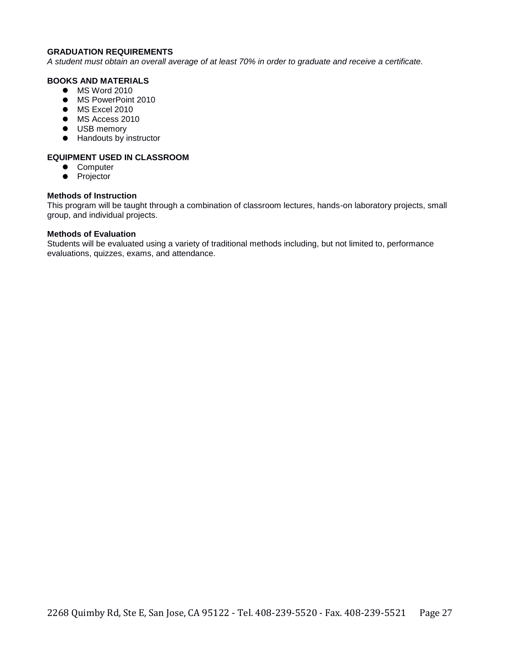#### **GRADUATION REQUIREMENTS**

*A student must obtain an overall average of at least 70% in order to graduate and receive a certificate.* 

#### **BOOKS AND MATERIALS**

- $\bullet$  MS Word 2010
- $\bullet$  MS PowerPoint 2010
- $\bullet$  MS Excel 2010
- $\bullet$  MS Access 2010
- $\bullet$  USB memory
- Handouts by instructor

#### **EQUIPMENT USED IN CLASSROOM**

- Computer
- Projector

#### **Methods of Instruction**

This program will be taught through a combination of classroom lectures, hands-on laboratory projects, small group, and individual projects.

#### **Methods of Evaluation**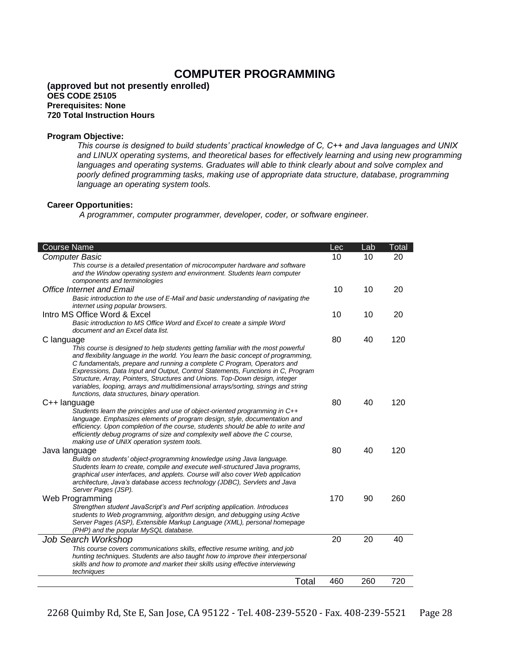# **COMPUTER PROGRAMMING**

#### **(approved but not presently enrolled) OES CODE 25105 Prerequisites: None 720 Total Instruction Hours**

#### **Program Objective:**

*This course is designed to build students' practical knowledge of C, C++ and Java languages and UNIX and LINUX operating systems, and theoretical bases for effectively learning and using new programming*  languages and operating systems. Graduates will able to think clearly about and solve complex and *poorly defined programming tasks, making use of appropriate data structure, database, programming language an operating system tools.* 

#### **Career Opportunities:**

*A programmer, computer programmer, developer, coder, or software engineer.* 

| <b>Course Name</b>                                                                                                                                             | Lec | Lab | Total |
|----------------------------------------------------------------------------------------------------------------------------------------------------------------|-----|-----|-------|
| <b>Computer Basic</b>                                                                                                                                          | 10  | 10  | 20    |
| This course is a detailed presentation of microcomputer hardware and software                                                                                  |     |     |       |
| and the Window operating system and environment. Students learn computer                                                                                       |     |     |       |
| components and terminologies                                                                                                                                   |     |     |       |
| <b>Office Internet and Email</b>                                                                                                                               | 10  | 10  | 20    |
| Basic introduction to the use of E-Mail and basic understanding of navigating the<br>internet using popular browsers.                                          |     |     |       |
| Intro MS Office Word & Excel                                                                                                                                   | 10  | 10  | 20    |
| Basic introduction to MS Office Word and Excel to create a simple Word                                                                                         |     |     |       |
| document and an Excel data list.                                                                                                                               |     |     |       |
| C language                                                                                                                                                     | 80  | 40  | 120   |
| This course is designed to help students getting familiar with the most powerful                                                                               |     |     |       |
| and flexibility language in the world. You learn the basic concept of programming.                                                                             |     |     |       |
| C fundamentals, prepare and running a complete C Program, Operators and                                                                                        |     |     |       |
| Expressions, Data Input and Output, Control Statements, Functions in C, Program<br>Structure, Array, Pointers, Structures and Unions. Top-Down design, integer |     |     |       |
| variables, looping, arrays and multidimensional arrays/sorting, strings and string                                                                             |     |     |       |
| functions, data structures, binary operation.                                                                                                                  |     |     |       |
| C++ language                                                                                                                                                   | 80  | 40  | 120   |
| Students learn the principles and use of object-oriented programming in C++                                                                                    |     |     |       |
| language. Emphasizes elements of program design, style, documentation and                                                                                      |     |     |       |
| efficiency. Upon completion of the course, students should be able to write and                                                                                |     |     |       |
| efficiently debug programs of size and complexity well above the C course.                                                                                     |     |     |       |
| making use of UNIX operation system tools.                                                                                                                     |     |     |       |
| Java language                                                                                                                                                  | 80  | 40  | 120   |
| Builds on students' object-programming knowledge using Java language.                                                                                          |     |     |       |
| Students learn to create, compile and execute well-structured Java programs,                                                                                   |     |     |       |
| graphical user interfaces, and applets. Course will also cover Web application                                                                                 |     |     |       |
| architecture, Java's database access technology (JDBC), Servlets and Java<br>Server Pages (JSP).                                                               |     |     |       |
|                                                                                                                                                                | 170 | 90  | 260   |
| Web Programming<br>Strengthen student JavaScript's and Perl scripting application. Introduces                                                                  |     |     |       |
| students to Web programming, algorithm design, and debugging using Active                                                                                      |     |     |       |
| Server Pages (ASP), Extensible Markup Language (XML), personal homepage                                                                                        |     |     |       |
| (PHP) and the popular MySQL database.                                                                                                                          |     |     |       |
| Job Search Workshop                                                                                                                                            | 20  | 20  | 40    |
| This course covers communications skills, effective resume writing, and job                                                                                    |     |     |       |
| hunting techniques. Students are also taught how to improve their interpersonal                                                                                |     |     |       |
| skills and how to promote and market their skills using effective interviewing                                                                                 |     |     |       |
| techniques                                                                                                                                                     |     |     |       |
| Total                                                                                                                                                          | 460 | 260 | 720   |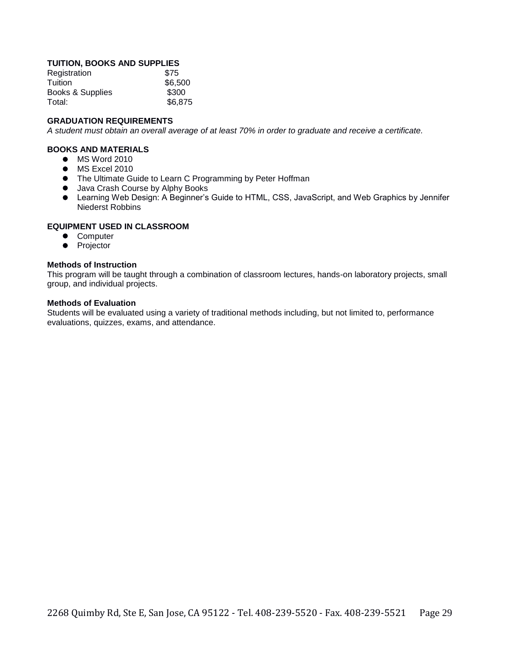#### **TUITION, BOOKS AND SUPPLIES**

| Registration     | \$75    |
|------------------|---------|
| Tuition          | \$6,500 |
| Books & Supplies | \$300   |
| Total:           | \$6,875 |

#### **GRADUATION REQUIREMENTS**

*A student must obtain an overall average of at least 70% in order to graduate and receive a certificate.* 

#### **BOOKS AND MATERIALS**

- $\bullet$  MS Word 2010
- $\bullet$  MS Excel 2010
- The Ultimate Guide to Learn C Programming by Peter Hoffman
- $\bullet$  Java Crash Course by Alphy Books
- Learning Web Design: A Beginner's Guide to HTML, CSS, JavaScript, and Web Graphics by Jennifer Niederst Robbins

#### **EQUIPMENT USED IN CLASSROOM**

- **•** Computer
- Projector

#### **Methods of Instruction**

This program will be taught through a combination of classroom lectures, hands-on laboratory projects, small group, and individual projects.

#### **Methods of Evaluation**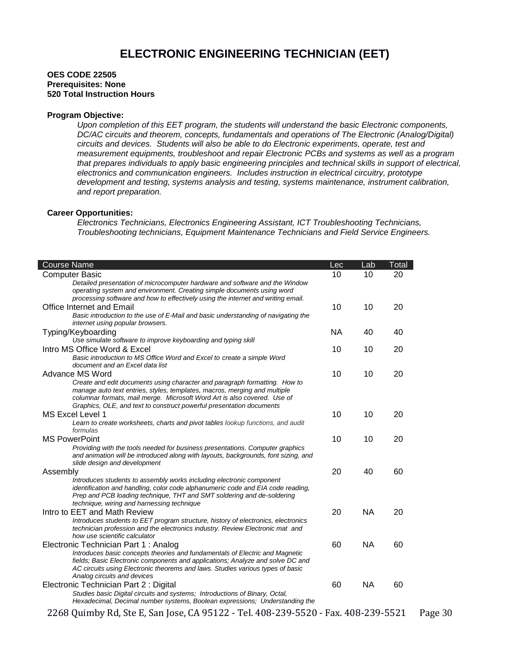#### **OES CODE 22505 Prerequisites: None 520 Total Instruction Hours**

#### **Program Objective:**

*Upon completion of this EET program, the students will understand the basic Electronic components, DC/AC circuits and theorem, concepts, fundamentals and operations of The Electronic (Analog/Digital) circuits and devices. Students will also be able to do Electronic experiments, operate, test and measurement equipments, troubleshoot and repair Electronic PCBs and systems as well as a program that prepares individuals to apply basic engineering principles and technical skills in support of electrical, electronics and communication engineers. Includes instruction in electrical circuitry, prototype development and testing, systems analysis and testing, systems maintenance, instrument calibration, and report preparation.* 

#### **Career Opportunities:**

Г

*Electronics Technicians, Electronics Engineering Assistant, ICT Troubleshooting Technicians, Troubleshooting technicians, Equipment Maintenance Technicians and Field Service Engineers.*

| <b>Course Name</b>                                                                                                                                                                                                                                                                                          | Lec       | Lab       | Total |
|-------------------------------------------------------------------------------------------------------------------------------------------------------------------------------------------------------------------------------------------------------------------------------------------------------------|-----------|-----------|-------|
| <b>Computer Basic</b>                                                                                                                                                                                                                                                                                       | 10        | 10        | 20    |
| Detailed presentation of microcomputer hardware and software and the Window<br>operating system and environment. Creating simple documents using word<br>processing software and how to effectively using the internet and writing email.                                                                   |           |           |       |
| <b>Office Internet and Email</b>                                                                                                                                                                                                                                                                            | 10        | 10        | 20    |
| Basic introduction to the use of E-Mail and basic understanding of navigating the<br>internet using popular browsers.                                                                                                                                                                                       |           |           |       |
| Typing/Keyboarding                                                                                                                                                                                                                                                                                          | <b>NA</b> | 40        | 40    |
| Use simulate software to improve keyboarding and typing skill                                                                                                                                                                                                                                               |           |           |       |
| Intro MS Office Word & Excel<br>Basic introduction to MS Office Word and Excel to create a simple Word<br>document and an Excel data list                                                                                                                                                                   | 10        | 10        | 20    |
| Advance MS Word                                                                                                                                                                                                                                                                                             | 10        | 10        | 20    |
| Create and edit documents using character and paragraph formatting. How to<br>manage auto text entries, styles, templates, macros, merging and multiple<br>columnar formats, mail merge. Microsoft Word Art is also covered. Use of<br>Graphics, OLE, and text to construct powerful presentation documents |           |           |       |
| MS Excel Level 1                                                                                                                                                                                                                                                                                            | 10        | 10        | 20    |
| Learn to create worksheets, charts and pivot tables lookup functions, and audit<br>formulas                                                                                                                                                                                                                 |           |           |       |
| <b>MS PowerPoint</b>                                                                                                                                                                                                                                                                                        | 10        | 10        | 20    |
| Providing with the tools needed for business presentations. Computer graphics<br>and animation will be introduced along with layouts, backgrounds, font sizing, and<br>slide design and development                                                                                                         |           |           |       |
| Assembly                                                                                                                                                                                                                                                                                                    | 20        | 40        | 60    |
| Introduces students to assembly works including electronic component<br>identification and handling, color code alphanumeric code and EIA code reading,<br>Prep and PCB loading technique, THT and SMT soldering and de-soldering<br>technique, wiring and harnessing technique                             |           |           |       |
| Intro to EET and Math Review                                                                                                                                                                                                                                                                                | 20        | <b>NA</b> | 20    |
| Introduces students to EET program structure, history of electronics, electronics<br>technician profession and the electronics industry. Review Electronic mat and<br>how use scientific calculator                                                                                                         |           |           |       |
| Electronic Technician Part 1: Analog                                                                                                                                                                                                                                                                        | 60        | <b>NA</b> | 60    |
| Introduces basic concepts theories and fundamentals of Electric and Magnetic<br>fields; Basic Electronic components and applications; Analyze and solve DC and<br>AC circuits using Electronic theorems and laws. Studies various types of basic<br>Analog circuits and devices                             |           |           |       |
| Electronic Technician Part 2 : Digital                                                                                                                                                                                                                                                                      | 60        | <b>NA</b> | 60    |
| Studies basic Digital circuits and systems; Introductions of Binary, Octal,<br>Hexadecimal, Decimal number systems, Boolean expressions; Understanding the                                                                                                                                                  |           |           |       |
| 2268 Quimby Rd, Ste E, San Jose, CA 95122 - Tel. 408-239-5520 - Fax. 408-239-5521                                                                                                                                                                                                                           |           |           |       |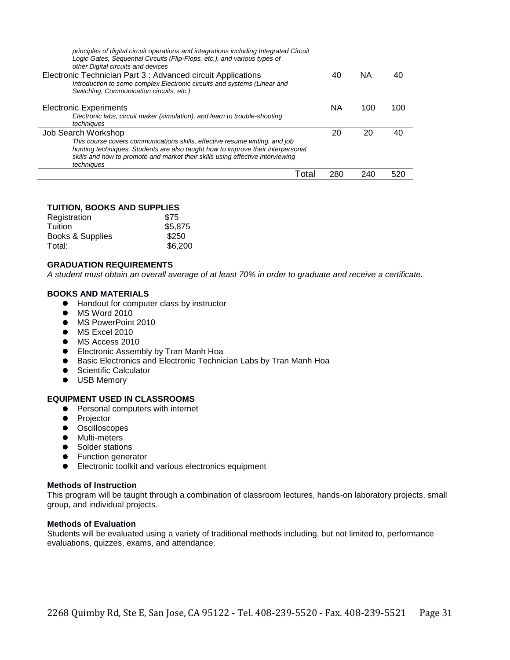| principles of digital circuit operations and integrations including Integrated Circuit<br>Logic Gates, Sequential Circuits (Flip-Flops, etc.), and various types of<br>other Digital circuits and devices<br>Electronic Technician Part 3 : Advanced circuit Applications<br>Introduction to some complex Electronic circuits and systems (Linear and<br>Switching, Communication circuits, etc.) | 40  | <b>NA</b> | 40  |
|---------------------------------------------------------------------------------------------------------------------------------------------------------------------------------------------------------------------------------------------------------------------------------------------------------------------------------------------------------------------------------------------------|-----|-----------|-----|
| <b>Electronic Experiments</b><br>Electronic labs, circuit maker (simulation), and learn to trouble-shooting<br>techniques                                                                                                                                                                                                                                                                         | ΝA  | 100       | 100 |
| Job Search Workshop<br>This course covers communications skills, effective resume writing, and job<br>hunting techniques. Students are also taught how to improve their interpersonal<br>skills and how to promote and market their skills using effective interviewing<br>techniques                                                                                                             | 20  | 20        | 40  |
| Tota                                                                                                                                                                                                                                                                                                                                                                                              | 280 | 240       | 520 |

#### **TUITION, BOOKS AND SUPPLIES**

| \$75    |
|---------|
| \$5,875 |
| \$250   |
| \$6,200 |
|         |

#### **GRADUATION REQUIREMENTS**

*A student must obtain an overall average of at least 70% in order to graduate and receive a certificate.* 

#### **BOOKS AND MATERIALS**

- Handout for computer class by instructor
- **•** MS Word 2010
- MS PowerPoint 2010
- $\bullet$  MS Excel 2010
- $\bullet$  MS Access 2010
- **Electronic Assembly by Tran Manh Hoa**
- Basic Electronics and Electronic Technician Labs by Tran Manh Hoa
- **•** Scientific Calculator
- $\bullet$  USB Memory

#### **EQUIPMENT USED IN CLASSROOMS**

- **•** Personal computers with internet
- Projector
- $\bullet$  Oscilloscopes
- $\bullet$  Multi-meters
- Solder stations
- **•** Function generator
- Electronic toolkit and various electronics equipment

#### **Methods of Instruction**

This program will be taught through a combination of classroom lectures, hands-on laboratory projects, small group, and individual projects.

#### **Methods of Evaluation**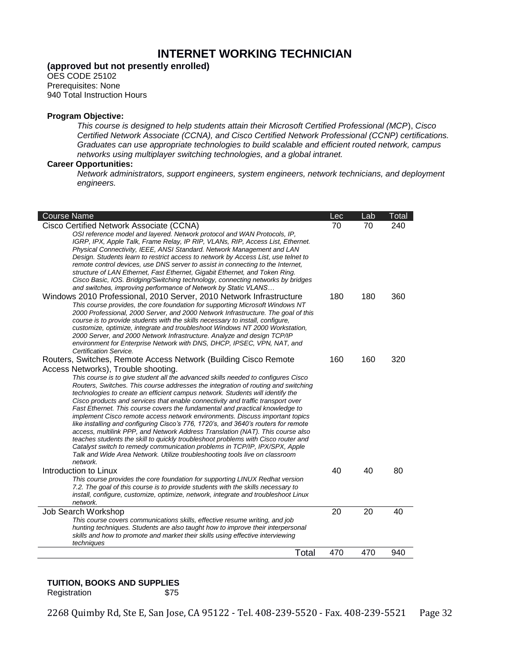# **INTERNET WORKING TECHNICIAN**

### **(approved but not presently enrolled)**

OES CODE 25102 Prerequisites: None 940 Total Instruction Hours

#### **Program Objective:**

*This course is designed to help students attain their Microsoft Certified Professional (MCP*), *Cisco Certified Network Associate (CCNA), and Cisco Certified Network Professional (CCNP) certifications. Graduates can use appropriate technologies to build scalable and efficient routed network, campus networks using multiplayer switching technologies, and a global intranet.* 

#### **Career Opportunities:**

*Network administrators, support engineers, system engineers, network technicians, and deployment engineers.*

| <b>Course Name</b>                                                                                                                                                                                                                                                                                                                                                                                                                                                                                                                                                                                                                                                                                                                                                                                                                                           | Lec | Lab | Total |
|--------------------------------------------------------------------------------------------------------------------------------------------------------------------------------------------------------------------------------------------------------------------------------------------------------------------------------------------------------------------------------------------------------------------------------------------------------------------------------------------------------------------------------------------------------------------------------------------------------------------------------------------------------------------------------------------------------------------------------------------------------------------------------------------------------------------------------------------------------------|-----|-----|-------|
| Cisco Certified Network Associate (CCNA)<br>OSI reference model and layered. Network protocol and WAN Protocols, IP,<br>IGRP, IPX, Apple Talk, Frame Relay, IP RIP, VLANs, RIP, Access List, Ethernet.<br>Physical Connectivity, IEEE, ANSI Standard. Network Management and LAN<br>Design. Students learn to restrict access to network by Access List, use telnet to<br>remote control devices, use DNS server to assist in connecting to the Internet,<br>structure of LAN Ethernet, Fast Ethernet, Gigabit Ethernet, and Token Ring.<br>Cisco Basic, IOS. Bridging/Switching technology, connecting networks by bridges<br>and switches, improving performance of Network by Static VLANS                                                                                                                                                                | 70  | 70  | 240   |
| Windows 2010 Professional, 2010 Server, 2010 Network Infrastructure<br>This course provides, the core foundation for supporting Microsoft Windows NT<br>2000 Professional, 2000 Server, and 2000 Network Infrastructure. The goal of this<br>course is to provide students with the skills necessary to install, configure,<br>customize, optimize, integrate and troubleshoot Windows NT 2000 Workstation,<br>2000 Server, and 2000 Network Infrastructure. Analyze and design TCP/IP<br>environment for Enterprise Network with DNS, DHCP, IPSEC, VPN, NAT, and<br>Certification Service.                                                                                                                                                                                                                                                                  | 180 | 180 | 360   |
| Routers, Switches, Remote Access Network (Building Cisco Remote                                                                                                                                                                                                                                                                                                                                                                                                                                                                                                                                                                                                                                                                                                                                                                                              | 160 | 160 | 320   |
| Access Networks), Trouble shooting.<br>This course is to give student all the advanced skills needed to configures Cisco                                                                                                                                                                                                                                                                                                                                                                                                                                                                                                                                                                                                                                                                                                                                     |     |     |       |
| Routers, Switches. This course addresses the integration of routing and switching<br>technologies to create an efficient campus network. Students will identify the<br>Cisco products and services that enable connectivity and traffic transport over<br>Fast Ethernet. This course covers the fundamental and practical knowledge to<br>implement Cisco remote access network environments. Discuss important topics<br>like installing and configuring Cisco's 776, 1720's, and 3640's routers for remote<br>access, multilink PPP, and Network Address Translation (NAT). This course also<br>teaches students the skill to quickly troubleshoot problems with Cisco router and<br>Catalyst switch to remedy communication problems in TCP/IP, IPX/SPX, Apple<br>Talk and Wide Area Network. Utilize troubleshooting tools live on classroom<br>network. |     |     |       |
| Introduction to Linux                                                                                                                                                                                                                                                                                                                                                                                                                                                                                                                                                                                                                                                                                                                                                                                                                                        | 40  | 40  | 80    |
| This course provides the core foundation for supporting LINUX Redhat version<br>7.2. The goal of this course is to provide students with the skills necessary to<br>install, configure, customize, optimize, network, integrate and troubleshoot Linux<br>network.                                                                                                                                                                                                                                                                                                                                                                                                                                                                                                                                                                                           |     |     |       |
| Job Search Workshop                                                                                                                                                                                                                                                                                                                                                                                                                                                                                                                                                                                                                                                                                                                                                                                                                                          | 20  | 20  | 40    |
| This course covers communications skills, effective resume writing, and job<br>hunting techniques. Students are also taught how to improve their interpersonal<br>skills and how to promote and market their skills using effective interviewing<br>techniques                                                                                                                                                                                                                                                                                                                                                                                                                                                                                                                                                                                               |     |     |       |
| Total                                                                                                                                                                                                                                                                                                                                                                                                                                                                                                                                                                                                                                                                                                                                                                                                                                                        | 470 | 470 | 940   |

#### **TUITION, BOOKS AND SUPPLIES**

Registration \$75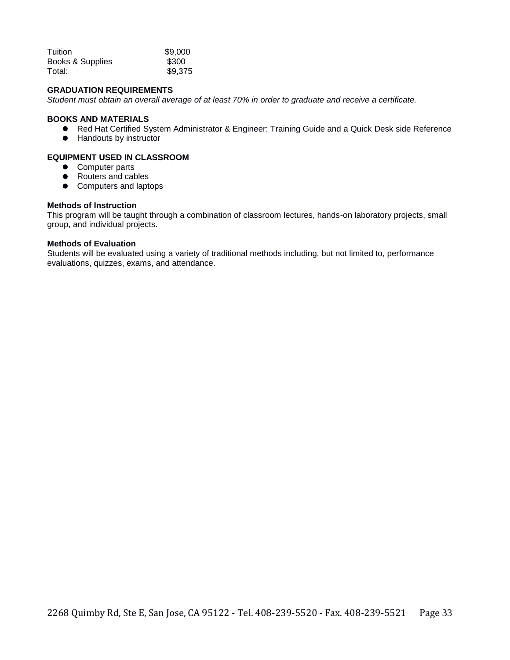| Tuition          | \$9,000 |
|------------------|---------|
| Books & Supplies | \$300   |
| Total:           | \$9,375 |

#### **GRADUATION REQUIREMENTS**

*Student must obtain an overall average of at least 70% in order to graduate and receive a certificate.*

#### **BOOKS AND MATERIALS**

- Red Hat Certified System Administrator & Engineer: Training Guide and a Quick Desk side Reference
- Handouts by instructor

#### **EQUIPMENT USED IN CLASSROOM**

- Computer parts
- Routers and cables
- Computers and laptops

#### **Methods of Instruction**

This program will be taught through a combination of classroom lectures, hands-on laboratory projects, small group, and individual projects.

#### **Methods of Evaluation**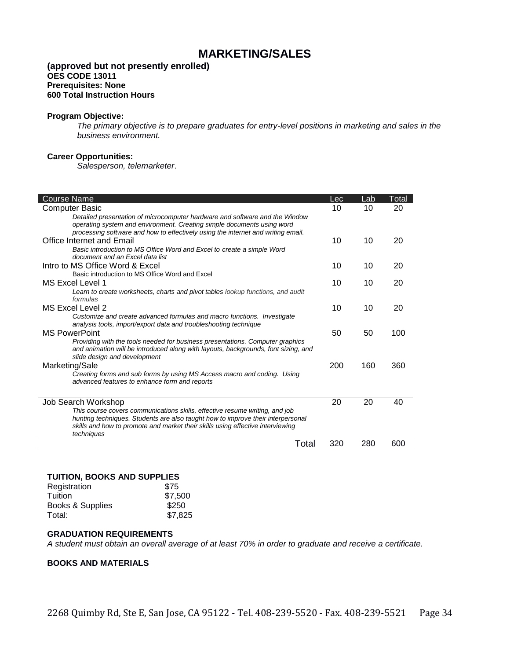# **MARKETING/SALES**

#### **(approved but not presently enrolled) OES CODE 13011 Prerequisites: None 600 Total Instruction Hours**

#### **Program Objective:**

*The primary objective is to prepare graduates for entry-level positions in marketing and sales in the business environment.* 

#### **Career Opportunities:**

*Salesperson, telemarketer*.

| <b>Course Name</b>                                                                                        | Lec | Lab | Total |
|-----------------------------------------------------------------------------------------------------------|-----|-----|-------|
| <b>Computer Basic</b>                                                                                     | 10  | 10  | 20    |
| Detailed presentation of microcomputer hardware and software and the Window                               |     |     |       |
| operating system and environment. Creating simple documents using word                                    |     |     |       |
| processing software and how to effectively using the internet and writing email.                          |     |     |       |
| <b>Office Internet and Email</b>                                                                          | 10  | 10  | 20    |
| Basic introduction to MS Office Word and Excel to create a simple Word<br>document and an Excel data list |     |     |       |
| Intro to MS Office Word & Excel                                                                           | 10  | 10  | 20    |
| Basic introduction to MS Office Word and Excel                                                            |     |     |       |
| MS Excel Level 1                                                                                          | 10  | 10  | 20    |
| Learn to create worksheets, charts and pivot tables lookup functions, and audit                           |     |     |       |
| formulas                                                                                                  |     |     |       |
| <b>MS Excel Level 2</b>                                                                                   | 10  | 10  | 20    |
| Customize and create advanced formulas and macro functions. Investigate                                   |     |     |       |
| analysis tools, import/export data and troubleshooting technique                                          |     |     |       |
| <b>MS PowerPoint</b>                                                                                      | 50  | 50  | 100   |
| Providing with the tools needed for business presentations. Computer graphics                             |     |     |       |
| and animation will be introduced along with layouts, backgrounds, font sizing, and                        |     |     |       |
| slide design and development                                                                              |     |     |       |
| Marketing/Sale                                                                                            | 200 | 160 | 360   |
| Creating forms and sub forms by using MS Access macro and coding. Using                                   |     |     |       |
| advanced features to enhance form and reports                                                             |     |     |       |
| Job Search Workshop                                                                                       | 20  | 20  | 40    |
| This course covers communications skills, effective resume writing, and job                               |     |     |       |
| hunting techniques. Students are also taught how to improve their interpersonal                           |     |     |       |
| skills and how to promote and market their skills using effective interviewing                            |     |     |       |
| techniques                                                                                                |     |     |       |
| Total                                                                                                     | 320 | 280 | 600   |

#### **TUITION, BOOKS AND SUPPLIES**

| Registration     | \$75    |
|------------------|---------|
| Tuition          | \$7,500 |
| Books & Supplies | \$250   |
| Total:           | \$7,825 |

#### **GRADUATION REQUIREMENTS**

*A student must obtain an overall average of at least 70% in order to graduate and receive a certificate.*

#### **BOOKS AND MATERIALS**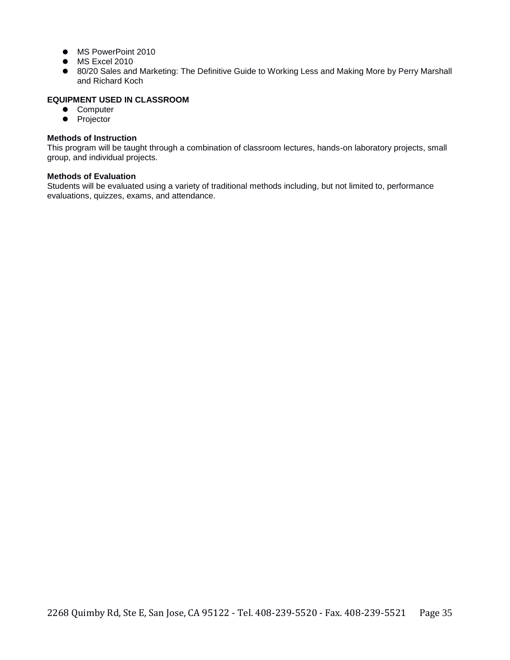- $\bullet$  MS PowerPoint 2010
- $\bullet$  MS Excel 2010
- 80/20 Sales and Marketing: The Definitive Guide to Working Less and Making More by Perry Marshall and Richard Koch

#### **EQUIPMENT USED IN CLASSROOM**

- **•** Computer
- Projector

#### **Methods of Instruction**

This program will be taught through a combination of classroom lectures, hands-on laboratory projects, small group, and individual projects.

#### **Methods of Evaluation**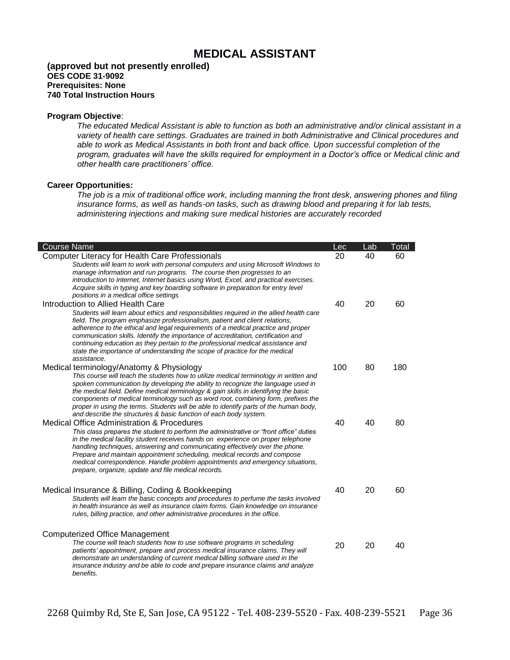# **MEDICAL ASSISTANT**

#### **(approved but not presently enrolled) OES CODE 31-9092 Prerequisites: None 740 Total Instruction Hours**

#### **Program Objective**:

*The educated Medical Assistant is able to function as both an administrative and/or clinical assistant in a variety of health care settings. Graduates are trained in both Administrative and Clinical procedures and able to work as Medical Assistants in both front and back office. Upon successful completion of the program, graduates will have the skills required for employment in a Doctor's office or Medical clinic and other health care practitioners' office.*

#### **Career Opportunities:**

*The job is a mix of traditional office work, including manning the front desk, answering phones and filing insurance forms, as well as hands-on tasks, such as drawing blood and preparing it for lab tests, administering injections and making sure medical histories are accurately recorded*

| <b>Course Name</b>                                                                                                                                                                                                                                                                                                                                                                                                                                                                                                                                                      | Lec | Lab | Total |
|-------------------------------------------------------------------------------------------------------------------------------------------------------------------------------------------------------------------------------------------------------------------------------------------------------------------------------------------------------------------------------------------------------------------------------------------------------------------------------------------------------------------------------------------------------------------------|-----|-----|-------|
| <b>Computer Literacy for Health Care Professionals</b><br>Students will learn to work with personal computers and using Microsoft Windows to<br>manage information and run programs. The course then progresses to an<br>introduction to Internet, Internet basics using Word, Excel, and practical exercises.<br>Acquire skills in typing and key boarding software in preparation for entry level<br>positions in a medical office settings                                                                                                                           | 20  | 40  | 60    |
| Introduction to Allied Health Care<br>Students will learn about ethics and responsibilities required in the allied health care<br>field. The program emphasize professionalism, patient and client relations,<br>adherence to the ethical and legal requirements of a medical practice and proper<br>communication skills. Identify the importance of accreditation, certification and<br>continuing education as they pertain to the professional medical assistance and<br>state the importance of understanding the scope of practice for the medical<br>assistance. | 40  | 20  | 60    |
| Medical terminology/Anatomy & Physiology<br>This course will teach the students how to utilize medical terminology in written and<br>spoken communication by developing the ability to recognize the language used in<br>the medical field. Define medical terminology & gain skills in identifying the basic<br>components of medical terminology such as word root, combining form, prefixes the<br>proper in using the terms. Students will be able to identify parts of the human body,<br>and describe the structures & basic function of each body system.        | 100 | 80  | 180   |
| <b>Medical Office Administration &amp; Procedures</b><br>This class prepares the student to perform the administrative or "front office" duties<br>in the medical facility student receives hands on experience on proper telephone<br>handling techniques, answering and communicating effectively over the phone.<br>Prepare and maintain appointment scheduling, medical records and compose<br>medical correspondence. Handle problem appointments and emergency situations,<br>prepare, organize, update and file medical records.                                 | 40  | 40  | 80    |
| Medical Insurance & Billing, Coding & Bookkeeping<br>Students will learn the basic concepts and procedures to perfume the tasks involved<br>in health insurance as well as insurance claim forms. Gain knowledge on insurance<br>rules, billing practice, and other administrative procedures in the office.                                                                                                                                                                                                                                                            | 40  | 20  | 60    |
| <b>Computerized Office Management</b><br>The course will teach students how to use software programs in scheduling<br>patients' appointment, prepare and process medical insurance claims. They will<br>demonstrate an understanding of current medical billing software used in the<br>insurance industry and be able to code and prepare insurance claims and analyze<br>benefits.                                                                                                                                                                                    | 20  | 20  | 40    |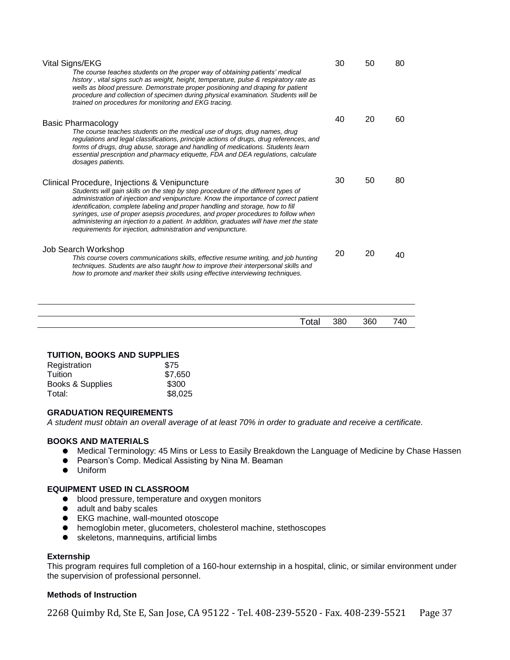| Vital Signs/EKG<br>The course teaches students on the proper way of obtaining patients' medical<br>history, vital signs such as weight, height, temperature, pulse & respiratory rate as<br>wells as blood pressure. Demonstrate proper positioning and draping for patient<br>procedure and collection of specimen during physical examination. Students will be<br>trained on procedures for monitoring and EKG tracing.                                                                                                                                  | 30 | 50 | 80 |
|-------------------------------------------------------------------------------------------------------------------------------------------------------------------------------------------------------------------------------------------------------------------------------------------------------------------------------------------------------------------------------------------------------------------------------------------------------------------------------------------------------------------------------------------------------------|----|----|----|
| <b>Basic Pharmacology</b><br>The course teaches students on the medical use of drugs, drug names, drug<br>requlations and legal classifications, principle actions of drugs, drug references, and<br>forms of drugs, drug abuse, storage and handling of medications. Students learn<br>essential prescription and pharmacy etiquette, FDA and DEA requlations, calculate<br>dosages patients.                                                                                                                                                              | 40 | 20 | 60 |
| Clinical Procedure, Injections & Venipuncture<br>Students will gain skills on the step by step procedure of the different types of<br>administration of injection and venipuncture. Know the importance of correct patient<br>identification, complete labeling and proper handling and storage, how to fill<br>syringes, use of proper asepsis procedures, and proper procedures to follow when<br>administering an injection to a patient. In addition, graduates will have met the state<br>requirements for injection, administration and venipuncture. | 30 | 50 | 80 |
| Job Search Workshop<br>This course covers communications skills, effective resume writing, and job hunting<br>techniques. Students are also taught how to improve their interpersonal skills and<br>how to promote and market their skills using effective interviewing techniques.                                                                                                                                                                                                                                                                         | 20 | 20 | 40 |
|                                                                                                                                                                                                                                                                                                                                                                                                                                                                                                                                                             |    |    |    |

| Total | 380 | 360 | . 40<br>ำ−ี |
|-------|-----|-----|-------------|
|       |     |     |             |

#### **TUITION, BOOKS AND SUPPLIES**

| Registration     | \$75    |
|------------------|---------|
| Tuition          | \$7,650 |
| Books & Supplies | \$300   |
| Total:           | \$8,025 |

#### **GRADUATION REQUIREMENTS**

*A student must obtain an overall average of at least 70% in order to graduate and receive a certificate.*

#### **BOOKS AND MATERIALS**

- Medical Terminology: 45 Mins or Less to Easily Breakdown the Language of Medicine by Chase Hassen
- Pearson's Comp. Medical Assisting by Nina M. Beaman
- Uniform

#### **EQUIPMENT USED IN CLASSROOM**

- $\bullet$  blood pressure, temperature and oxygen monitors
- adult and baby scales
- EKG machine, wall-mounted otoscope
- hemoglobin meter, glucometers, cholesterol machine, stethoscopes
- skeletons, mannequins, artificial limbs

#### **Externship**

This program requires full completion of a 160-hour externship in a hospital, clinic, or similar environment under the supervision of professional personnel.

#### **Methods of Instruction**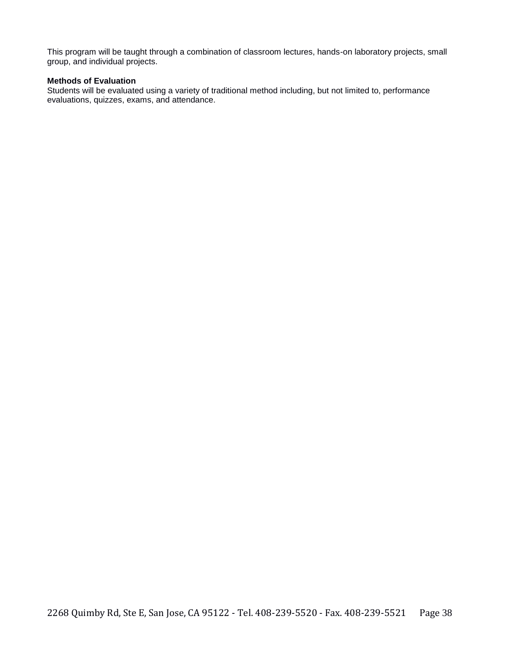This program will be taught through a combination of classroom lectures, hands-on laboratory projects, small group, and individual projects.

#### **Methods of Evaluation**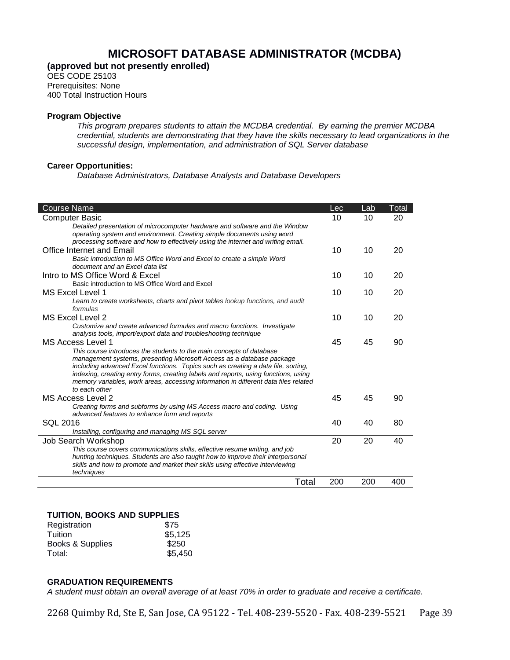# **MICROSOFT DATABASE ADMINISTRATOR (MCDBA)**

**(approved but not presently enrolled)**

OES CODE 25103 Prerequisites: None 400 Total Instruction Hours

#### **Program Objective**

*This program prepares students to attain the MCDBA credential. By earning the premier MCDBA credential, students are demonstrating that they have the skills necessary to lead organizations in the successful design, implementation, and administration of SQL Server database*

#### **Career Opportunities:**

 $\overline{\phantom{a}}$ 

*Database Administrators, Database Analysts and Database Developers* 

| <b>Course Name</b>                                                                                                                                                                                                                                                                                                                                                                                                                | Lec | Lab | Total |
|-----------------------------------------------------------------------------------------------------------------------------------------------------------------------------------------------------------------------------------------------------------------------------------------------------------------------------------------------------------------------------------------------------------------------------------|-----|-----|-------|
| Computer Basic                                                                                                                                                                                                                                                                                                                                                                                                                    | 10  | 10  | 20    |
| Detailed presentation of microcomputer hardware and software and the Window<br>operating system and environment. Creating simple documents using word<br>processing software and how to effectively using the internet and writing email.                                                                                                                                                                                         |     |     |       |
| Office Internet and Email                                                                                                                                                                                                                                                                                                                                                                                                         | 10  | 10  | 20    |
| Basic introduction to MS Office Word and Excel to create a simple Word<br>document and an Excel data list                                                                                                                                                                                                                                                                                                                         |     |     |       |
| Intro to MS Office Word & Excel                                                                                                                                                                                                                                                                                                                                                                                                   | 10  | 10  | 20    |
| Basic introduction to MS Office Word and Excel                                                                                                                                                                                                                                                                                                                                                                                    |     |     |       |
| MS Excel Level 1                                                                                                                                                                                                                                                                                                                                                                                                                  | 10  | 10  | 20    |
| Learn to create worksheets, charts and pivot tables lookup functions, and audit<br>formulas                                                                                                                                                                                                                                                                                                                                       |     |     |       |
| MS Excel Level 2                                                                                                                                                                                                                                                                                                                                                                                                                  | 10  | 10  | 20    |
| Customize and create advanced formulas and macro functions. Investigate<br>analysis tools, import/export data and troubleshooting technique                                                                                                                                                                                                                                                                                       |     |     |       |
| MS Access Level 1                                                                                                                                                                                                                                                                                                                                                                                                                 | 45  | 45  | 90    |
| This course introduces the students to the main concepts of database<br>management systems, presenting Microsoft Access as a database package<br>including advanced Excel functions. Topics such as creating a data file, sorting,<br>indexing, creating entry forms, creating labels and reports, using functions, using<br>memory variables, work areas, accessing information in different data files related<br>to each other |     |     |       |
| <b>MS Access Level 2</b>                                                                                                                                                                                                                                                                                                                                                                                                          | 45  | 45  | 90    |
| Creating forms and subforms by using MS Access macro and coding. Using<br>advanced features to enhance form and reports                                                                                                                                                                                                                                                                                                           |     |     |       |
| SQL 2016                                                                                                                                                                                                                                                                                                                                                                                                                          | 40  | 40  | 80    |
| Installing, configuring and managing MS SQL server                                                                                                                                                                                                                                                                                                                                                                                |     |     |       |
| Job Search Workshop                                                                                                                                                                                                                                                                                                                                                                                                               | 20  | 20  | 40    |
| This course covers communications skills, effective resume writing, and job<br>hunting techniques. Students are also taught how to improve their interpersonal<br>skills and how to promote and market their skills using effective interviewing<br>techniques                                                                                                                                                                    |     |     |       |
| Total                                                                                                                                                                                                                                                                                                                                                                                                                             | 200 | 200 | 400   |

#### **TUITION, BOOKS AND SUPPLIES**

| Registration     | \$75    |
|------------------|---------|
| Tuition          | \$5,125 |
| Books & Supplies | \$250   |
| Total:           | \$5,450 |

#### **GRADUATION REQUIREMENTS**

*A student must obtain an overall average of at least 70% in order to graduate and receive a certificate.*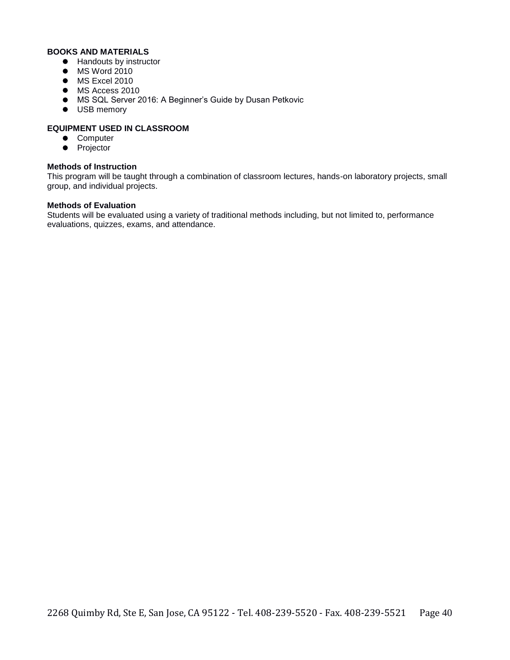#### **BOOKS AND MATERIALS**

- Handouts by instructor
- **•** MS Word 2010
- $\bullet$  MS Excel 2010
- $\bullet$  MS Access 2010
- MS SQL Server 2016: A Beginner's Guide by Dusan Petkovic
- $\bullet$  USB memory

#### **EQUIPMENT USED IN CLASSROOM**

- **•** Computer
- Projector

#### **Methods of Instruction**

This program will be taught through a combination of classroom lectures, hands-on laboratory projects, small group, and individual projects.

#### **Methods of Evaluation**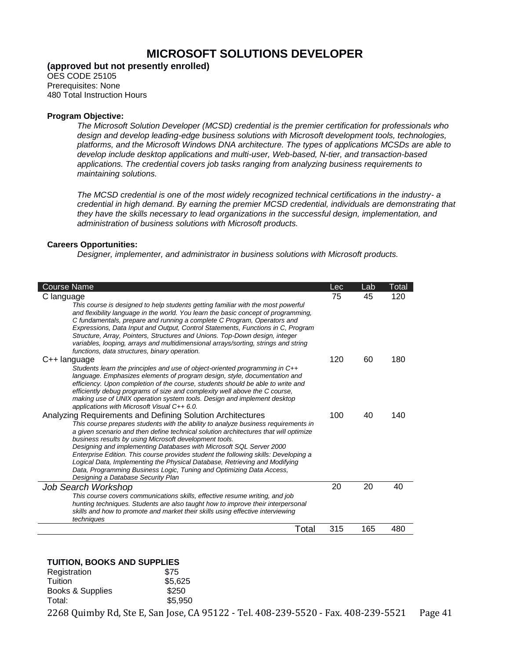# **MICROSOFT SOLUTIONS DEVELOPER**

**(approved but not presently enrolled)**

OES CODE 25105 Prerequisites: None 480 Total Instruction Hours

#### **Program Objective:**

*The Microsoft Solution Developer (MCSD) credential is the premier certification for professionals who design and develop leading-edge business solutions with Microsoft development tools, technologies, platforms, and the Microsoft Windows DNA architecture. The types of applications MCSDs are able to develop include desktop applications and multi-user, Web-based, N-tier, and transaction-based applications. The credential covers job tasks ranging from analyzing business requirements to maintaining solutions.*

*The MCSD credential is one of the most widely recognized technical certifications in the industry- a credential in high demand. By earning the premier MCSD credential, individuals are demonstrating that they have the skills necessary to lead organizations in the successful design, implementation, and administration of business solutions with Microsoft products.*

#### **Careers Opportunities:**

*Designer, implementer, and administrator in business solutions with Microsoft products.*

| <b>Course Name</b>                                                                                                                                                                                                                                                                                                                                                                                                                                                                                                                                                                                                                                           | Lec | Lab | Total |
|--------------------------------------------------------------------------------------------------------------------------------------------------------------------------------------------------------------------------------------------------------------------------------------------------------------------------------------------------------------------------------------------------------------------------------------------------------------------------------------------------------------------------------------------------------------------------------------------------------------------------------------------------------------|-----|-----|-------|
| C language<br>This course is designed to help students getting familiar with the most powerful<br>and flexibility language in the world. You learn the basic concept of programming,<br>C fundamentals, prepare and running a complete C Program, Operators and<br>Expressions, Data Input and Output, Control Statements, Functions in C, Program<br>Structure, Array, Pointers, Structures and Unions. Top-Down design, integer<br>variables, looping, arrays and multidimensional arrays/sorting, strings and string<br>functions, data structures, binary operation.                                                                                     | 75  | 45  | 120   |
| C++ language<br>Students learn the principles and use of object-oriented programming in C++<br>language. Emphasizes elements of program design, style, documentation and<br>efficiency. Upon completion of the course, students should be able to write and<br>efficiently debug programs of size and complexity well above the C course,<br>making use of UNIX operation system tools. Design and implement desktop<br>applications with Microsoft Visual C++ 6.0.                                                                                                                                                                                          | 120 | 60  | 180   |
| Analyzing Requirements and Defining Solution Architectures<br>This course prepares students with the ability to analyze business requirements in<br>a given scenario and then define technical solution architectures that will optimize<br>business results by using Microsoft development tools.<br>Designing and implementing Databases with Microsoft SQL Server 2000<br>Enterprise Edition. This course provides student the following skills: Developing a<br>Logical Data, Implementing the Physical Database, Retrieving and Modifying<br>Data, Programming Business Logic, Tuning and Optimizing Data Access,<br>Designing a Database Security Plan | 100 | 40  | 140   |
| Job Search Workshop<br>This course covers communications skills, effective resume writing, and job<br>hunting techniques. Students are also taught how to improve their interpersonal<br>skills and how to promote and market their skills using effective interviewing<br>techniques                                                                                                                                                                                                                                                                                                                                                                        | 20  | 20  | 40    |
| Total                                                                                                                                                                                                                                                                                                                                                                                                                                                                                                                                                                                                                                                        | 315 | 165 | 480   |

#### **TUITION, BOOKS AND SUPPLIES**

| Registration     | \$75    |
|------------------|---------|
| Tuition          | \$5,625 |
| Books & Supplies | \$250   |
| Total:           | \$5,950 |
|                  |         |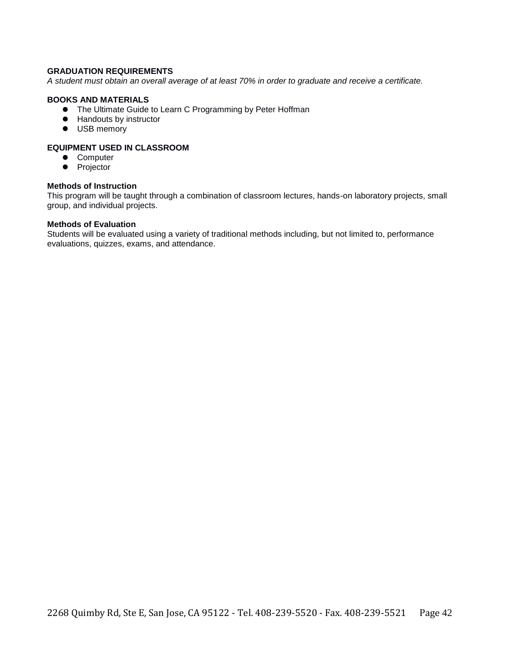#### **GRADUATION REQUIREMENTS**

*A student must obtain an overall average of at least 70% in order to graduate and receive a certificate.* 

#### **BOOKS AND MATERIALS**

- The Ultimate Guide to Learn C Programming by Peter Hoffman
- **•** Handouts by instructor
- $\bullet$  USB memory

#### **EQUIPMENT USED IN CLASSROOM**

- **•** Computer
- Projector

#### **Methods of Instruction**

This program will be taught through a combination of classroom lectures, hands-on laboratory projects, small group, and individual projects.

#### **Methods of Evaluation**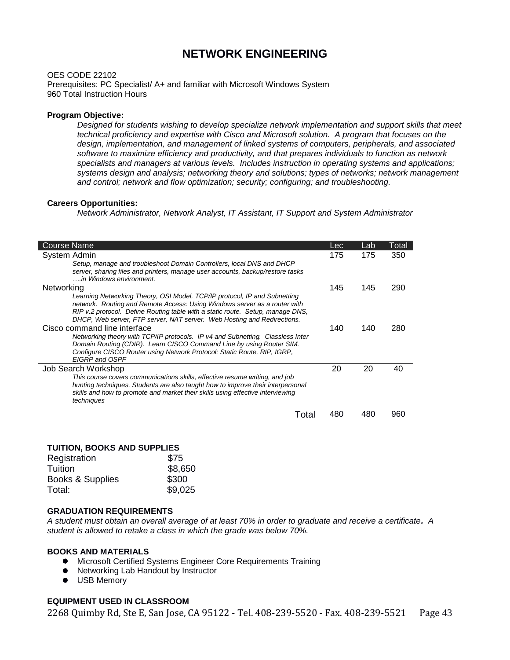# **NETWORK ENGINEERING**

OES CODE 22102

Prerequisites: PC Specialist/ A+ and familiar with Microsoft Windows System 960 Total Instruction Hours

#### **Program Objective:**

*Designed for students wishing to develop specialize network implementation and support skills that meet technical proficiency and expertise with Cisco and Microsoft solution. A program that focuses on the design, implementation, and management of linked systems of computers, peripherals, and associated software to maximize efficiency and productivity, and that prepares individuals to function as network specialists and managers at various levels. Includes instruction in operating systems and applications; systems design and analysis; networking theory and solutions; types of networks; network management and control; network and flow optimization; security; configuring; and troubleshooting.*

#### **Careers Opportunities:**

*Network Administrator, Network Analyst, IT Assistant, IT Support and System Administrator*

| <b>Course Name</b>                                                                                                                                                                                                                                                                                                  | Lec | Lab | Total |
|---------------------------------------------------------------------------------------------------------------------------------------------------------------------------------------------------------------------------------------------------------------------------------------------------------------------|-----|-----|-------|
| System Admin                                                                                                                                                                                                                                                                                                        | 175 | 175 | 350   |
| Setup, manage and troubleshoot Domain Controllers, local DNS and DHCP<br>server, sharing files and printers, manage user accounts, backup/restore tasks<br>, in Windows environment.                                                                                                                                |     |     |       |
| Networking                                                                                                                                                                                                                                                                                                          | 145 | 145 | 290   |
| Learning Networking Theory, OSI Model, TCP/IP protocol, IP and Subnetting<br>network. Routing and Remote Access: Using Windows server as a router with<br>RIP v.2 protocol. Define Routing table with a static route. Setup, manage DNS,<br>DHCP, Web server, FTP server, NAT server. Web Hosting and Redirections. |     |     |       |
| Cisco command line interface                                                                                                                                                                                                                                                                                        | 140 | 140 | 280   |
| Networking theory with TCP/IP protocols. IP v4 and Subnetting. Classless Inter<br>Domain Routing (CDIR). Learn CISCO Command Line by using Router SIM.<br>Configure CISCO Router using Network Protocol: Static Route, RIP, IGRP,<br>EIGRP and OSPF                                                                 |     |     |       |
| Job Search Workshop                                                                                                                                                                                                                                                                                                 | 20  | 20  | 40    |
| This course covers communications skills, effective resume writing, and job<br>hunting techniques. Students are also taught how to improve their interpersonal<br>skills and how to promote and market their skills using effective interviewing<br>techniques                                                      |     |     |       |
| Total                                                                                                                                                                                                                                                                                                               | 480 | 480 | 960   |

#### **TUITION, BOOKS AND SUPPLIES**

| \$8,650 |
|---------|
| \$300   |
| \$9,025 |
|         |

#### **GRADUATION REQUIREMENTS**

*A student must obtain an overall average of at least 70% in order to graduate and receive a certificate. A student is allowed to retake a class in which the grade was below 70%.*

#### **BOOKS AND MATERIALS**

- Microsoft Certified Systems Engineer Core Requirements Training
- Networking Lab Handout by Instructor
- **O** USB Memory

#### **EQUIPMENT USED IN CLASSROOM**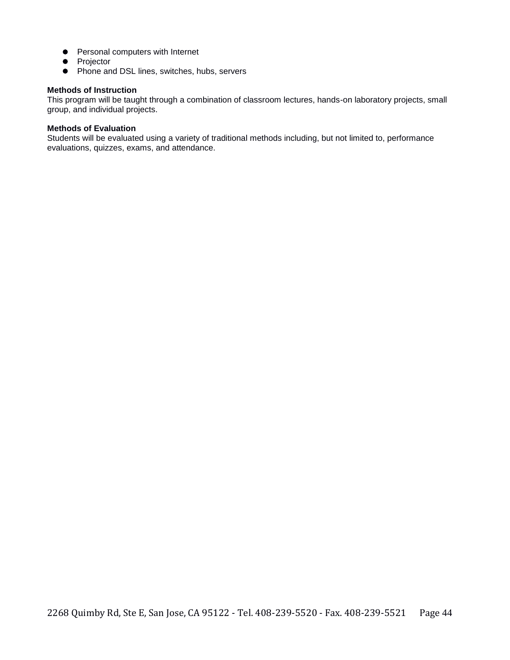- **•** Personal computers with Internet
- Projector
- **•** Phone and DSL lines, switches, hubs, servers

#### **Methods of Instruction**

This program will be taught through a combination of classroom lectures, hands-on laboratory projects, small group, and individual projects.

#### **Methods of Evaluation**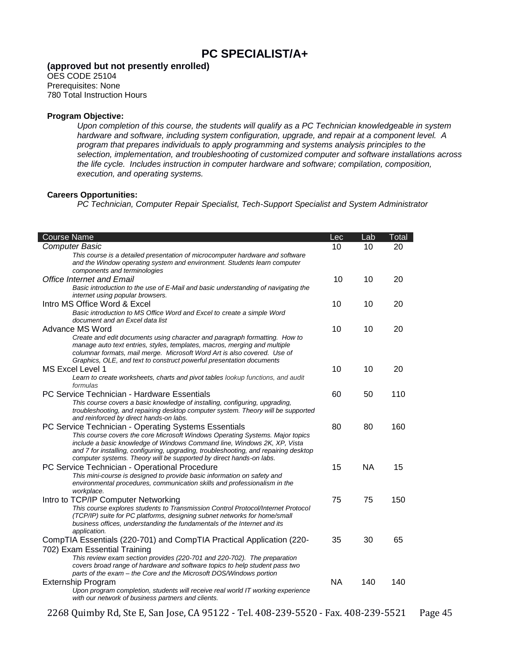# **PC SPECIALIST/A+**

**(approved but not presently enrolled)**

OES CODE 25104 Prerequisites: None 780 Total Instruction Hours

#### **Program Objective:**

*Upon completion of this course, the students will qualify as a PC Technician knowledgeable in system hardware and software, including system configuration, upgrade, and repair at a component level. A program that prepares individuals to apply programming and systems analysis principles to the selection, implementation, and troubleshooting of customized computer and software installations across the life cycle. Includes instruction in computer hardware and software; compilation, composition, execution, and operating systems.* 

#### **Careers Opportunities:**

*PC Technician, Computer Repair Specialist, Tech-Support Specialist and System Administrator*

| <b>Course Name</b>                                                                                                                                                                                                                                                                                                       | Lec       | Lab       | Total |
|--------------------------------------------------------------------------------------------------------------------------------------------------------------------------------------------------------------------------------------------------------------------------------------------------------------------------|-----------|-----------|-------|
| <b>Computer Basic</b>                                                                                                                                                                                                                                                                                                    | 10        | 10        | 20    |
| This course is a detailed presentation of microcomputer hardware and software<br>and the Window operating system and environment. Students learn computer<br>components and terminologies                                                                                                                                |           |           |       |
| Office Internet and Email                                                                                                                                                                                                                                                                                                | 10        | 10        | 20    |
| Basic introduction to the use of E-Mail and basic understanding of navigating the<br>internet using popular browsers.                                                                                                                                                                                                    |           |           |       |
| Intro MS Office Word & Excel                                                                                                                                                                                                                                                                                             | 10        | 10        | 20    |
| Basic introduction to MS Office Word and Excel to create a simple Word<br>document and an Excel data list                                                                                                                                                                                                                |           |           |       |
| Advance MS Word                                                                                                                                                                                                                                                                                                          | 10        | 10        | 20    |
| Create and edit documents using character and paragraph formatting. How to<br>manage auto text entries, styles, templates, macros, merging and multiple<br>columnar formats, mail merge. Microsoft Word Art is also covered. Use of<br>Graphics, OLE, and text to construct powerful presentation documents              |           |           |       |
| MS Excel Level 1                                                                                                                                                                                                                                                                                                         | 10        | 10        | 20    |
| Learn to create worksheets, charts and pivot tables lookup functions, and audit<br>formulas                                                                                                                                                                                                                              |           |           |       |
| PC Service Technician - Hardware Essentials                                                                                                                                                                                                                                                                              | 60        | 50        | 110   |
| This course covers a basic knowledge of installing, configuring, upgrading,<br>troubleshooting, and repairing desktop computer system. Theory will be supported<br>and reinforced by direct hands-on labs.                                                                                                               |           |           |       |
| PC Service Technician - Operating Systems Essentials                                                                                                                                                                                                                                                                     | 80        | 80        | 160   |
| This course covers the core Microsoft Windows Operating Systems. Major topics<br>include a basic knowledge of Windows Command line, Windows 2K, XP, Vista<br>and 7 for installing, configuring, upgrading, troubleshooting, and repairing desktop<br>computer systems. Theory will be supported by direct hands-on labs. |           |           |       |
| PC Service Technician - Operational Procedure                                                                                                                                                                                                                                                                            | 15        | <b>NA</b> | 15    |
| This mini-course is designed to provide basic information on safety and<br>environmental procedures, communication skills and professionalism in the<br>workplace.                                                                                                                                                       |           |           |       |
| Intro to TCP/IP Computer Networking                                                                                                                                                                                                                                                                                      | 75        | 75        | 150   |
| This course explores students to Transmission Control Protocol/Internet Protocol<br>(TCP/IP) suite for PC platforms, designing subnet networks for home/small<br>business offices, understanding the fundamentals of the Internet and its<br>application.                                                                |           |           |       |
| CompTIA Essentials (220-701) and CompTIA Practical Application (220-                                                                                                                                                                                                                                                     | 35        | 30        | 65    |
| 702) Exam Essential Training<br>This review exam section provides (220-701 and 220-702). The preparation<br>covers broad range of hardware and software topics to help student pass two<br>parts of the exam - the Core and the Microsoft DOS/Windows portion                                                            |           |           |       |
| <b>Externship Program</b>                                                                                                                                                                                                                                                                                                | <b>NA</b> | 140       | 140   |
| Upon program completion, students will receive real world IT working experience<br>with our network of business partners and clients.                                                                                                                                                                                    |           |           |       |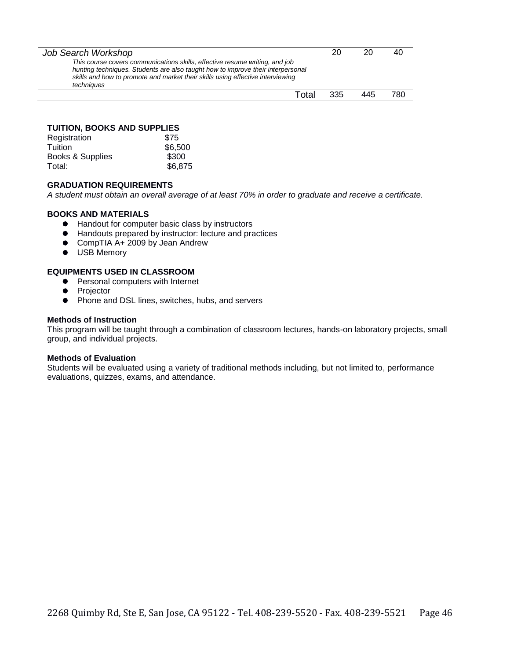| Job Search Workshop                                                                                                                                                                                                                                            | 20  |     | 40   |
|----------------------------------------------------------------------------------------------------------------------------------------------------------------------------------------------------------------------------------------------------------------|-----|-----|------|
| This course covers communications skills, effective resume writing, and job<br>hunting techniques. Students are also taught how to improve their interpersonal<br>skills and how to promote and market their skills using effective interviewing<br>techniques |     |     |      |
| Total                                                                                                                                                                                                                                                          | 335 | 445 | 780. |

#### **TUITION, BOOKS AND SUPPLIES**

| Registration     | \$75    |
|------------------|---------|
| Tuition          | \$6,500 |
| Books & Supplies | \$300   |
| Total:           | \$6,875 |

#### **GRADUATION REQUIREMENTS**

*A student must obtain an overall average of at least 70% in order to graduate and receive a certificate.* 

#### **BOOKS AND MATERIALS**

- Handout for computer basic class by instructors
- Handouts prepared by instructor: lecture and practices
- CompTIA A+ 2009 by Jean Andrew
- $\bullet$  USB Memory

#### **EQUIPMENTS USED IN CLASSROOM**

- **•** Personal computers with Internet
- **•** Projector
- Phone and DSL lines, switches, hubs, and servers

#### **Methods of Instruction**

This program will be taught through a combination of classroom lectures, hands-on laboratory projects, small group, and individual projects.

#### **Methods of Evaluation**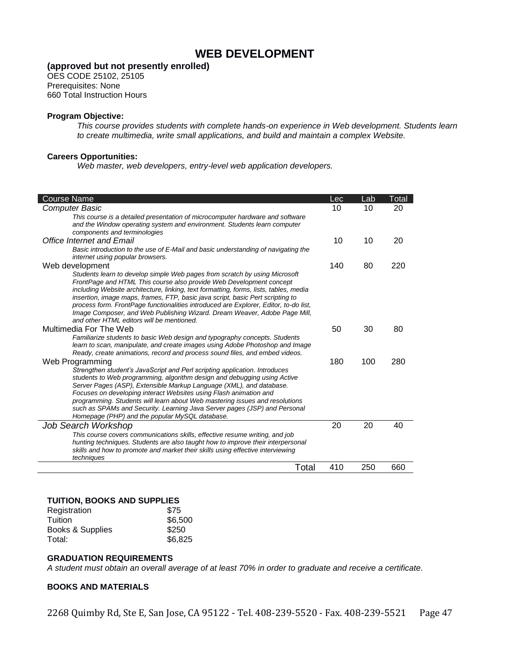# **WEB DEVELOPMENT**

#### **(approved but not presently enrolled)**

OES CODE 25102, 25105 Prerequisites: None 660 Total Instruction Hours

#### **Program Objective:**

*This course provides students with complete hands-on experience in Web development. Students learn to create multimedia, write small applications, and build and maintain a complex Website.* 

#### **Careers Opportunities:**

*Web master, web developers, entry-level web application developers.*

| Course Name                                                                                                                                                                                                                                                                                                                                                                                                                                                                                                                                    | Lec | Lab | Total |
|------------------------------------------------------------------------------------------------------------------------------------------------------------------------------------------------------------------------------------------------------------------------------------------------------------------------------------------------------------------------------------------------------------------------------------------------------------------------------------------------------------------------------------------------|-----|-----|-------|
| Computer Basic                                                                                                                                                                                                                                                                                                                                                                                                                                                                                                                                 | 10  | 10  | 20    |
| This course is a detailed presentation of microcomputer hardware and software<br>and the Window operating system and environment. Students learn computer<br>components and terminologies                                                                                                                                                                                                                                                                                                                                                      |     |     |       |
| <b>Office Internet and Email</b>                                                                                                                                                                                                                                                                                                                                                                                                                                                                                                               | 10  | 10  | 20    |
| Basic introduction to the use of E-Mail and basic understanding of navigating the<br>internet using popular browsers.                                                                                                                                                                                                                                                                                                                                                                                                                          |     |     |       |
| Web development                                                                                                                                                                                                                                                                                                                                                                                                                                                                                                                                | 140 | 80  | 220   |
| Students learn to develop simple Web pages from scratch by using Microsoft<br>FrontPage and HTML This course also provide Web Development concept<br>including Website architecture, linking, text formatting, forms, lists, tables, media<br>insertion, image maps, frames, FTP, basic java script, basic Pert scripting to<br>process form. FrontPage functionalities introduced are Explorer, Editor, to-do list,<br>Image Composer, and Web Publishing Wizard. Dream Weaver, Adobe Page Mill,<br>and other HTML editors will be mentioned. |     |     |       |
| Multimedia For The Web                                                                                                                                                                                                                                                                                                                                                                                                                                                                                                                         | 50  | 30  | 80    |
| Familiarize students to basic Web design and typography concepts. Students<br>learn to scan, manipulate, and create images using Adobe Photoshop and Image<br>Ready, create animations, record and process sound files, and embed videos.                                                                                                                                                                                                                                                                                                      |     |     |       |
| Web Programming                                                                                                                                                                                                                                                                                                                                                                                                                                                                                                                                | 180 | 100 | 280   |
| Strengthen student's JavaScript and Perl scripting application. Introduces<br>students to Web programming, algorithm design and debugging using Active<br>Server Pages (ASP), Extensible Markup Language (XML), and database.<br>Focuses on developing interact Websites using Flash animation and<br>programming. Students will learn about Web mastering issues and resolutions<br>such as SPAMs and Security. Learning Java Server pages (JSP) and Personal<br>Homepage (PHP) and the popular MySQL database.                               |     |     |       |
| Job Search Workshop                                                                                                                                                                                                                                                                                                                                                                                                                                                                                                                            | 20  | 20  | 40    |
| This course covers communications skills, effective resume writing, and job<br>hunting techniques. Students are also taught how to improve their interpersonal<br>skills and how to promote and market their skills using effective interviewing<br>techniques                                                                                                                                                                                                                                                                                 |     |     |       |
| Total                                                                                                                                                                                                                                                                                                                                                                                                                                                                                                                                          | 410 | 250 | 660   |
|                                                                                                                                                                                                                                                                                                                                                                                                                                                                                                                                                |     |     |       |

#### **TUITION, BOOKS AND SUPPLIES**

| Registration     | \$75    |
|------------------|---------|
| Tuition          | \$6,500 |
| Books & Supplies | \$250   |
| Total:           | \$6,825 |

#### **GRADUATION REQUIREMENTS**

*A student must obtain an overall average of at least 70% in order to graduate and receive a certificate.* 

#### **BOOKS AND MATERIALS**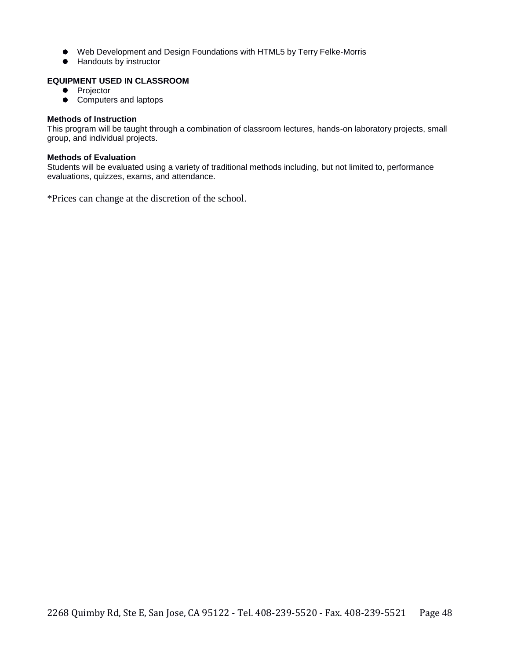- Web Development and Design Foundations with HTML5 by Terry Felke-Morris
- Handouts by instructor

#### **EQUIPMENT USED IN CLASSROOM**

- Projector
- Computers and laptops

#### **Methods of Instruction**

This program will be taught through a combination of classroom lectures, hands-on laboratory projects, small group, and individual projects.

#### **Methods of Evaluation**

Students will be evaluated using a variety of traditional methods including, but not limited to, performance evaluations, quizzes, exams, and attendance.

\*Prices can change at the discretion of the school.